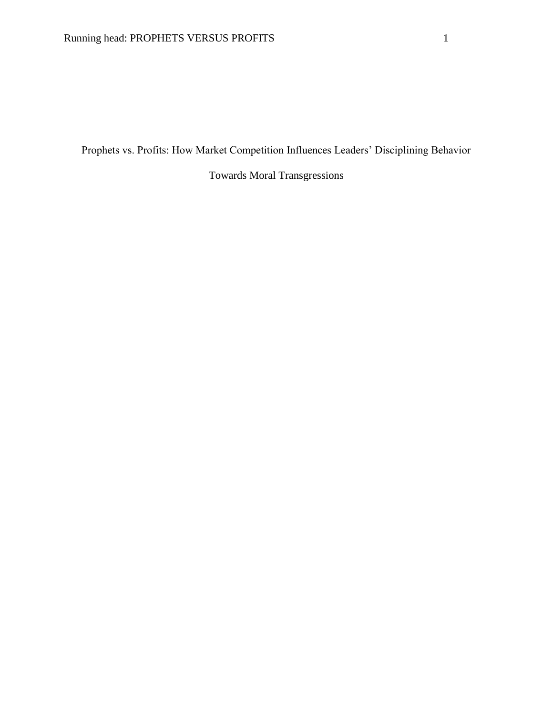Prophets vs. Profits: How Market Competition Influences Leaders' Disciplining Behavior

Towards Moral Transgressions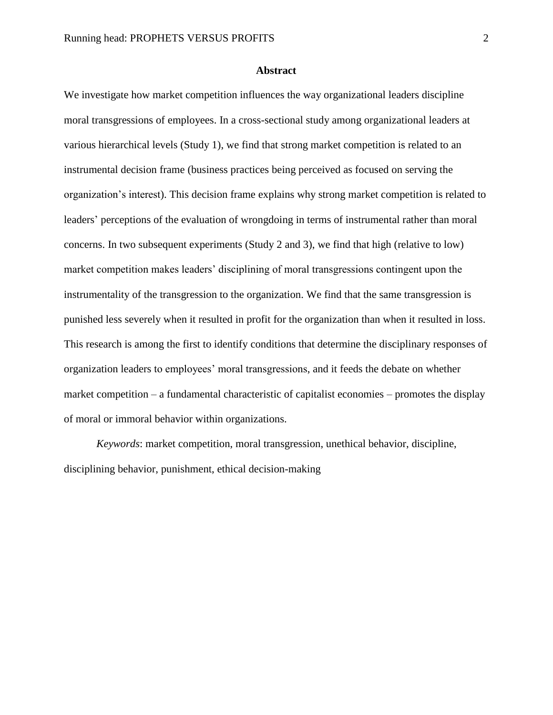## **Abstract**

We investigate how market competition influences the way organizational leaders discipline moral transgressions of employees. In a cross-sectional study among organizational leaders at various hierarchical levels (Study 1), we find that strong market competition is related to an instrumental decision frame (business practices being perceived as focused on serving the organization's interest). This decision frame explains why strong market competition is related to leaders' perceptions of the evaluation of wrongdoing in terms of instrumental rather than moral concerns. In two subsequent experiments (Study 2 and 3), we find that high (relative to low) market competition makes leaders' disciplining of moral transgressions contingent upon the instrumentality of the transgression to the organization. We find that the same transgression is punished less severely when it resulted in profit for the organization than when it resulted in loss. This research is among the first to identify conditions that determine the disciplinary responses of organization leaders to employees' moral transgressions, and it feeds the debate on whether market competition – a fundamental characteristic of capitalist economies – promotes the display of moral or immoral behavior within organizations.

*Keywords*: market competition, moral transgression, unethical behavior, discipline, disciplining behavior, punishment, ethical decision-making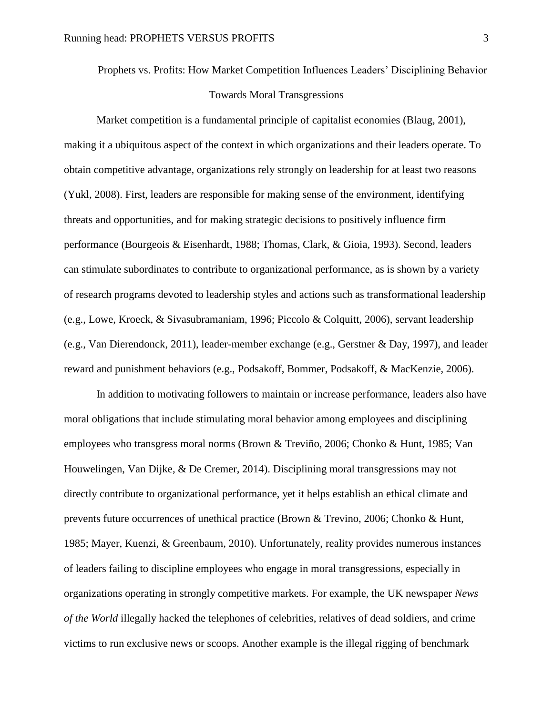Prophets vs. Profits: How Market Competition Influences Leaders' Disciplining Behavior Towards Moral Transgressions

Market competition is a fundamental principle of capitalist economies (Blaug, 2001), making it a ubiquitous aspect of the context in which organizations and their leaders operate. To obtain competitive advantage, organizations rely strongly on leadership for at least two reasons (Yukl, 2008). First, leaders are responsible for making sense of the environment, identifying threats and opportunities, and for making strategic decisions to positively influence firm performance (Bourgeois & Eisenhardt, 1988; Thomas, Clark, & Gioia, 1993). Second, leaders can stimulate subordinates to contribute to organizational performance, as is shown by a variety of research programs devoted to leadership styles and actions such as transformational leadership (e.g., Lowe, Kroeck, & Sivasubramaniam, 1996; Piccolo & Colquitt, 2006), servant leadership (e.g., Van Dierendonck, 2011), leader-member exchange (e.g., Gerstner & Day, 1997), and leader reward and punishment behaviors (e.g., Podsakoff, Bommer, Podsakoff, & MacKenzie, 2006).

In addition to motivating followers to maintain or increase performance, leaders also have moral obligations that include stimulating moral behavior among employees and disciplining employees who transgress moral norms (Brown & Treviño, 2006; Chonko & Hunt, 1985; Van Houwelingen, Van Dijke, & De Cremer, 2014). Disciplining moral transgressions may not directly contribute to organizational performance, yet it helps establish an ethical climate and prevents future occurrences of unethical practice (Brown & Trevino, 2006; Chonko & Hunt, 1985; Mayer, Kuenzi, & Greenbaum, 2010). Unfortunately, reality provides numerous instances of leaders failing to discipline employees who engage in moral transgressions, especially in organizations operating in strongly competitive markets. For example, the UK newspaper *News of the World* illegally hacked the telephones of celebrities, relatives of dead soldiers, and crime victims to run exclusive news or scoops. Another example is the illegal rigging of benchmark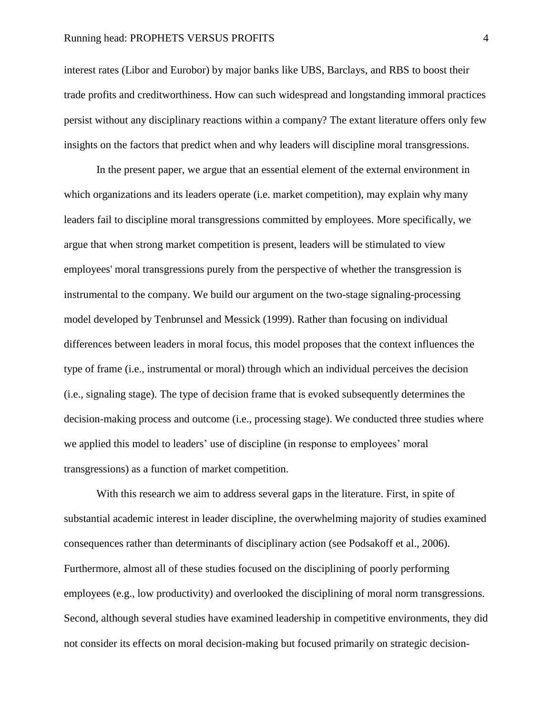interest rates (Libor and Eurobor) by major banks like UBS, Barclays, and RBS to boost their trade profits and creditworthiness. How can such widespread and longstanding immoral practices persist without any disciplinary reactions within a company? The extant literature offers only few insights on the factors that predict when and why leaders will discipline moral transgressions.

In the present paper, we argue that an essential element of the external environment in which organizations and its leaders operate (i.e. market competition), may explain why many leaders fail to discipline moral transgressions committed by employees. More specifically, we argue that when strong market competition is present, leaders will be stimulated to view employees' moral transgressions purely from the perspective of whether the transgression is instrumental to the company. We build our argument on the two-stage signaling-processing model developed by Tenbrunsel and Messick (1999). Rather than focusing on individual differences between leaders in moral focus, this model proposes that the context influences the type of frame (i.e., instrumental or moral) through which an individual perceives the decision (i.e., signaling stage). The type of decision frame that is evoked subsequently determines the decision-making process and outcome (i.e., processing stage). We conducted three studies where we applied this model to leaders' use of discipline (in response to employees' moral transgressions) as a function of market competition.

With this research we aim to address several gaps in the literature. First, in spite of substantial academic interest in leader discipline, the overwhelming majority of studies examined consequences rather than determinants of disciplinary action (see Podsakoff et al., 2006). Furthermore, almost all of these studies focused on the disciplining of poorly performing employees (e.g., low productivity) and overlooked the disciplining of moral norm transgressions. Second, although several studies have examined leadership in competitive environments, they did not consider its effects on moral decision-making but focused primarily on strategic decision-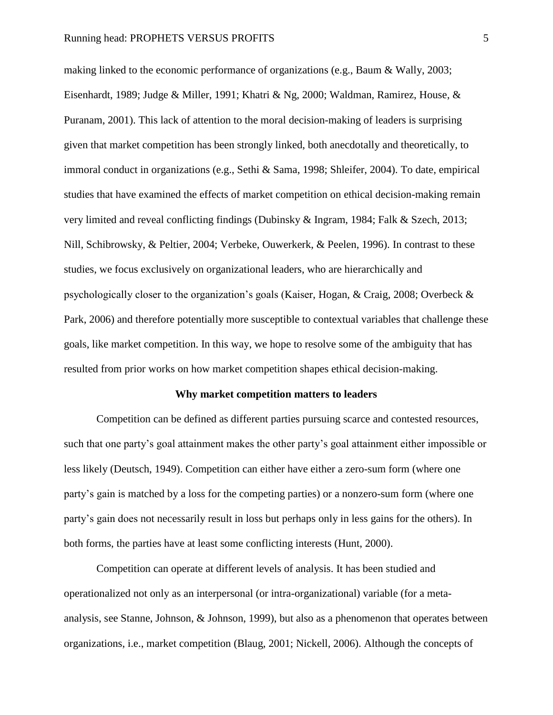making linked to the economic performance of organizations (e.g., Baum & Wally, 2003; Eisenhardt, 1989; Judge & Miller, 1991; Khatri & Ng, 2000; Waldman, Ramirez, House, & Puranam, 2001). This lack of attention to the moral decision-making of leaders is surprising given that market competition has been strongly linked, both anecdotally and theoretically, to immoral conduct in organizations (e.g., Sethi & Sama, 1998; Shleifer, 2004). To date, empirical studies that have examined the effects of market competition on ethical decision-making remain very limited and reveal conflicting findings (Dubinsky & Ingram, 1984; Falk & Szech, 2013; Nill, Schibrowsky, & Peltier, 2004; Verbeke, Ouwerkerk, & Peelen, 1996). In contrast to these studies, we focus exclusively on organizational leaders, who are hierarchically and psychologically closer to the organization's goals (Kaiser, Hogan, & Craig, 2008; Overbeck & Park, 2006) and therefore potentially more susceptible to contextual variables that challenge these goals, like market competition. In this way, we hope to resolve some of the ambiguity that has resulted from prior works on how market competition shapes ethical decision-making.

# **Why market competition matters to leaders**

Competition can be defined as different parties pursuing scarce and contested resources, such that one party's goal attainment makes the other party's goal attainment either impossible or less likely (Deutsch, 1949). Competition can either have either a zero-sum form (where one party's gain is matched by a loss for the competing parties) or a nonzero-sum form (where one party's gain does not necessarily result in loss but perhaps only in less gains for the others). In both forms, the parties have at least some conflicting interests (Hunt, 2000).

Competition can operate at different levels of analysis. It has been studied and operationalized not only as an interpersonal (or intra-organizational) variable (for a metaanalysis, see Stanne, Johnson, & Johnson, 1999), but also as a phenomenon that operates between organizations, i.e., market competition (Blaug, 2001; Nickell, 2006). Although the concepts of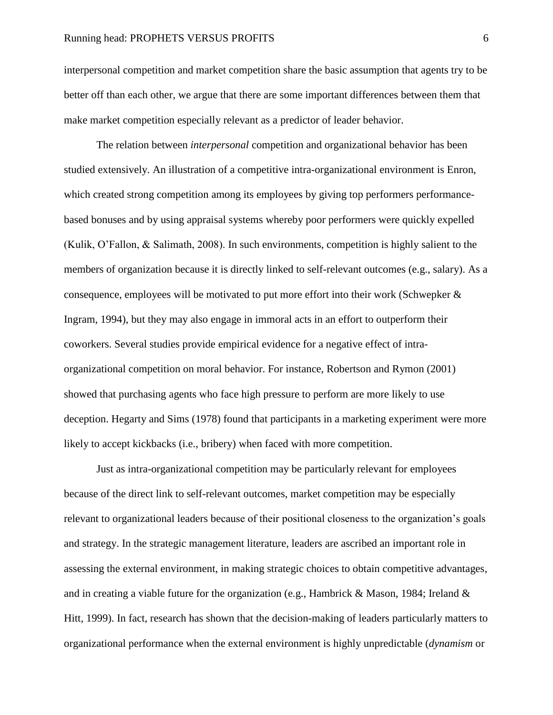# Running head: PROPHETS VERSUS PROFITS 6

interpersonal competition and market competition share the basic assumption that agents try to be better off than each other, we argue that there are some important differences between them that make market competition especially relevant as a predictor of leader behavior.

The relation between *interpersonal* competition and organizational behavior has been studied extensively. An illustration of a competitive intra-organizational environment is Enron, which created strong competition among its employees by giving top performers performancebased bonuses and by using appraisal systems whereby poor performers were quickly expelled (Kulik, O'Fallon, & Salimath, 2008). In such environments, competition is highly salient to the members of organization because it is directly linked to self-relevant outcomes (e.g., salary). As a consequence, employees will be motivated to put more effort into their work (Schwepker  $\&$ Ingram, 1994), but they may also engage in immoral acts in an effort to outperform their coworkers. Several studies provide empirical evidence for a negative effect of intraorganizational competition on moral behavior. For instance, Robertson and Rymon (2001) showed that purchasing agents who face high pressure to perform are more likely to use deception. Hegarty and Sims (1978) found that participants in a marketing experiment were more likely to accept kickbacks (i.e., bribery) when faced with more competition.

Just as intra-organizational competition may be particularly relevant for employees because of the direct link to self-relevant outcomes, market competition may be especially relevant to organizational leaders because of their positional closeness to the organization's goals and strategy. In the strategic management literature, leaders are ascribed an important role in assessing the external environment, in making strategic choices to obtain competitive advantages, and in creating a viable future for the organization (e.g., Hambrick & Mason, 1984; Ireland & Hitt, 1999). In fact, research has shown that the decision-making of leaders particularly matters to organizational performance when the external environment is highly unpredictable (*dynamism* or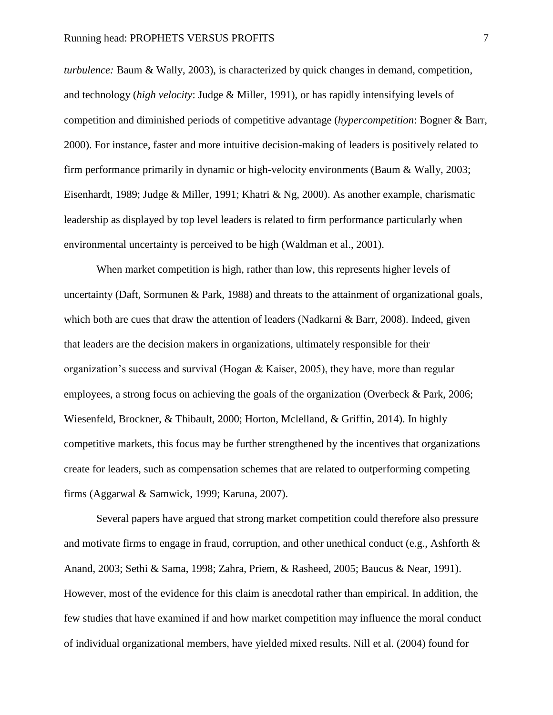*turbulence:* Baum & Wally, 2003), is characterized by quick changes in demand, competition, and technology (*high velocity*: Judge & Miller, 1991), or has rapidly intensifying levels of competition and diminished periods of competitive advantage (*hypercompetition*: Bogner & Barr, 2000). For instance, faster and more intuitive decision-making of leaders is positively related to firm performance primarily in dynamic or high-velocity environments (Baum & Wally, 2003; Eisenhardt, 1989; Judge & Miller, 1991; Khatri & Ng, 2000). As another example, charismatic leadership as displayed by top level leaders is related to firm performance particularly when environmental uncertainty is perceived to be high (Waldman et al., 2001).

When market competition is high, rather than low, this represents higher levels of uncertainty (Daft, Sormunen & Park, 1988) and threats to the attainment of organizational goals, which both are cues that draw the attention of leaders (Nadkarni & Barr, 2008). Indeed, given that leaders are the decision makers in organizations, ultimately responsible for their organization's success and survival (Hogan  $\&$  Kaiser, 2005), they have, more than regular employees, a strong focus on achieving the goals of the organization (Overbeck & Park, 2006; Wiesenfeld, Brockner, & Thibault, 2000; Horton, Mclelland, & Griffin, 2014). In highly competitive markets, this focus may be further strengthened by the incentives that organizations create for leaders, such as compensation schemes that are related to outperforming competing firms (Aggarwal & Samwick, 1999; Karuna, 2007).

Several papers have argued that strong market competition could therefore also pressure and motivate firms to engage in fraud, corruption, and other unethical conduct (e.g., Ashforth  $\&$ Anand, 2003; Sethi & Sama, 1998; Zahra, Priem, & Rasheed, 2005; Baucus & Near, 1991). However, most of the evidence for this claim is anecdotal rather than empirical. In addition, the few studies that have examined if and how market competition may influence the moral conduct of individual organizational members, have yielded mixed results. Nill et al. (2004) found for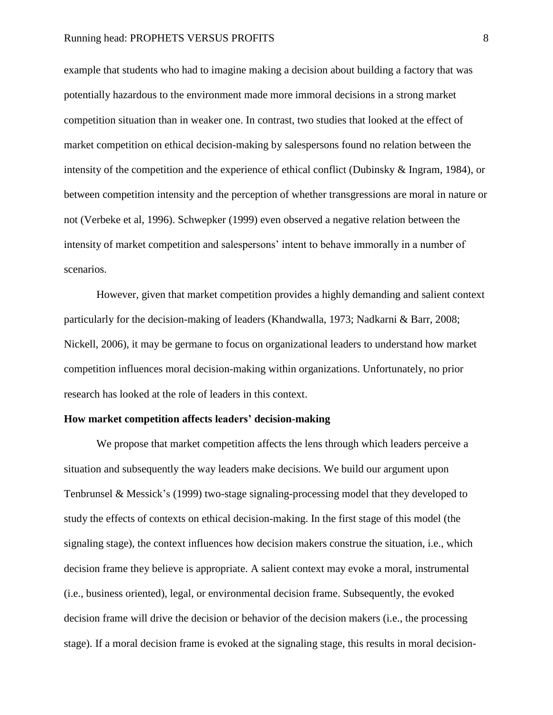example that students who had to imagine making a decision about building a factory that was potentially hazardous to the environment made more immoral decisions in a strong market competition situation than in weaker one. In contrast, two studies that looked at the effect of market competition on ethical decision-making by salespersons found no relation between the intensity of the competition and the experience of ethical conflict (Dubinsky & Ingram, 1984), or between competition intensity and the perception of whether transgressions are moral in nature or not (Verbeke et al, 1996). Schwepker (1999) even observed a negative relation between the intensity of market competition and salespersons' intent to behave immorally in a number of scenarios.

However, given that market competition provides a highly demanding and salient context particularly for the decision-making of leaders (Khandwalla, 1973; Nadkarni & Barr, 2008; Nickell, 2006), it may be germane to focus on organizational leaders to understand how market competition influences moral decision-making within organizations. Unfortunately, no prior research has looked at the role of leaders in this context.

#### **How market competition affects leaders' decision-making**

We propose that market competition affects the lens through which leaders perceive a situation and subsequently the way leaders make decisions. We build our argument upon Tenbrunsel & Messick's (1999) two-stage signaling-processing model that they developed to study the effects of contexts on ethical decision-making. In the first stage of this model (the signaling stage), the context influences how decision makers construe the situation, i.e., which decision frame they believe is appropriate. A salient context may evoke a moral, instrumental (i.e., business oriented), legal, or environmental decision frame. Subsequently, the evoked decision frame will drive the decision or behavior of the decision makers (i.e., the processing stage). If a moral decision frame is evoked at the signaling stage, this results in moral decision-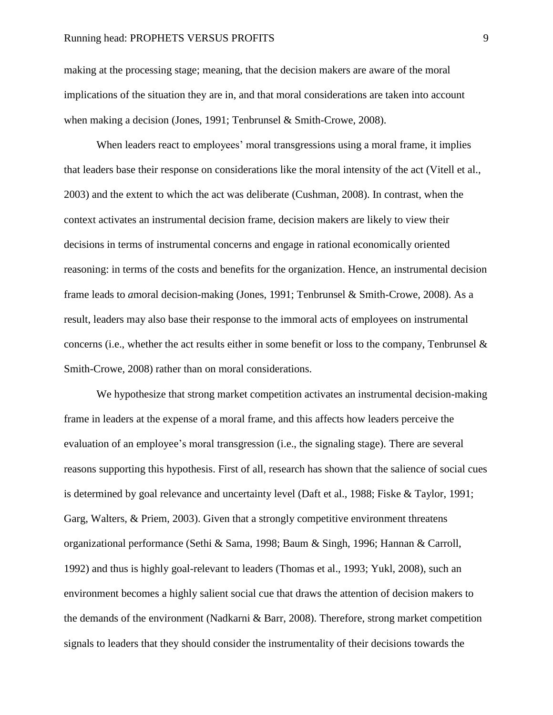#### Running head: PROPHETS VERSUS PROFITS 9

making at the processing stage; meaning, that the decision makers are aware of the moral implications of the situation they are in, and that moral considerations are taken into account when making a decision (Jones, 1991; Tenbrunsel & Smith-Crowe, 2008).

When leaders react to employees' moral transgressions using a moral frame, it implies that leaders base their response on considerations like the moral intensity of the act (Vitell et al., 2003) and the extent to which the act was deliberate (Cushman, 2008). In contrast, when the context activates an instrumental decision frame, decision makers are likely to view their decisions in terms of instrumental concerns and engage in rational economically oriented reasoning: in terms of the costs and benefits for the organization. Hence, an instrumental decision frame leads to *a*moral decision-making (Jones, 1991; Tenbrunsel & Smith-Crowe, 2008). As a result, leaders may also base their response to the immoral acts of employees on instrumental concerns (i.e., whether the act results either in some benefit or loss to the company, Tenbrunsel  $\&$ Smith-Crowe, 2008) rather than on moral considerations.

We hypothesize that strong market competition activates an instrumental decision-making frame in leaders at the expense of a moral frame, and this affects how leaders perceive the evaluation of an employee's moral transgression (i.e., the signaling stage). There are several reasons supporting this hypothesis. First of all, research has shown that the salience of social cues is determined by goal relevance and uncertainty level (Daft et al., 1988; Fiske & Taylor, 1991; Garg, Walters, & Priem, 2003). Given that a strongly competitive environment threatens organizational performance (Sethi & Sama, 1998; Baum & Singh, 1996; Hannan & Carroll, 1992) and thus is highly goal-relevant to leaders (Thomas et al., 1993; Yukl, 2008), such an environment becomes a highly salient social cue that draws the attention of decision makers to the demands of the environment (Nadkarni & Barr, 2008). Therefore, strong market competition signals to leaders that they should consider the instrumentality of their decisions towards the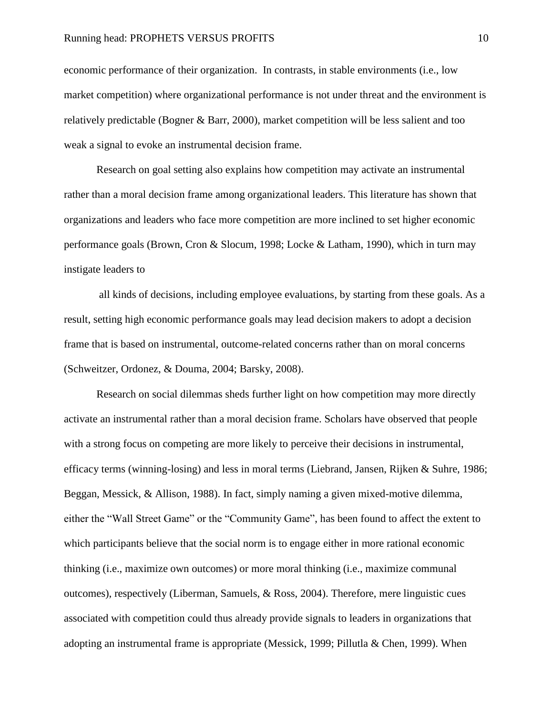economic performance of their organization. In contrasts, in stable environments (i.e., low market competition) where organizational performance is not under threat and the environment is relatively predictable (Bogner & Barr, 2000), market competition will be less salient and too weak a signal to evoke an instrumental decision frame.

Research on goal setting also explains how competition may activate an instrumental rather than a moral decision frame among organizational leaders. This literature has shown that organizations and leaders who face more competition are more inclined to set higher economic performance goals (Brown, Cron & Slocum, 1998; Locke & Latham, 1990), which in turn may instigate leaders to

all kinds of decisions, including employee evaluations, by starting from these goals. As a result, setting high economic performance goals may lead decision makers to adopt a decision frame that is based on instrumental, outcome-related concerns rather than on moral concerns (Schweitzer, Ordonez, & Douma, 2004; Barsky, 2008).

Research on social dilemmas sheds further light on how competition may more directly activate an instrumental rather than a moral decision frame. Scholars have observed that people with a strong focus on competing are more likely to perceive their decisions in instrumental, efficacy terms (winning-losing) and less in moral terms (Liebrand, Jansen, Rijken & Suhre, 1986; Beggan, Messick, & Allison, 1988). In fact, simply naming a given mixed-motive dilemma, either the "Wall Street Game" or the "Community Game", has been found to affect the extent to which participants believe that the social norm is to engage either in more rational economic thinking (i.e., maximize own outcomes) or more moral thinking (i.e., maximize communal outcomes), respectively (Liberman, Samuels, & Ross, 2004). Therefore, mere linguistic cues associated with competition could thus already provide signals to leaders in organizations that adopting an instrumental frame is appropriate (Messick, 1999; Pillutla & Chen, 1999). When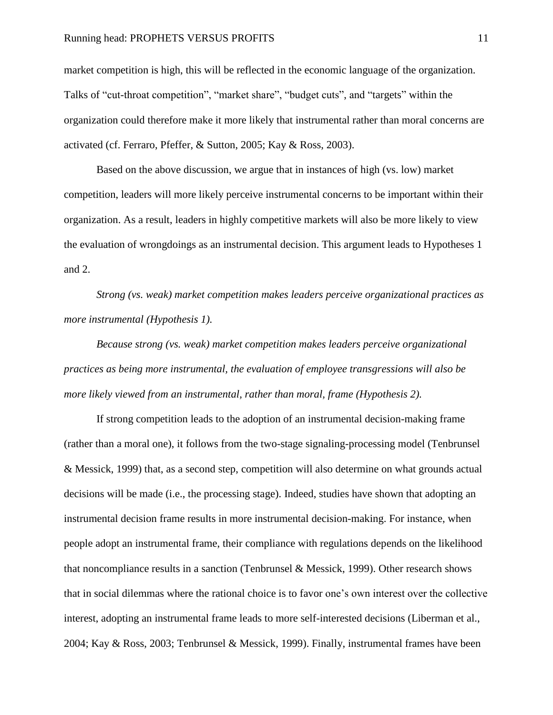market competition is high, this will be reflected in the economic language of the organization. Talks of "cut-throat competition", "market share", "budget cuts", and "targets" within the organization could therefore make it more likely that instrumental rather than moral concerns are activated (cf. Ferraro, Pfeffer, & Sutton, 2005; Kay & Ross, 2003).

Based on the above discussion, we argue that in instances of high (vs. low) market competition, leaders will more likely perceive instrumental concerns to be important within their organization. As a result, leaders in highly competitive markets will also be more likely to view the evaluation of wrongdoings as an instrumental decision. This argument leads to Hypotheses 1 and 2.

*Strong (vs. weak) market competition makes leaders perceive organizational practices as more instrumental (Hypothesis 1).*

*Because strong (vs. weak) market competition makes leaders perceive organizational practices as being more instrumental, the evaluation of employee transgressions will also be more likely viewed from an instrumental, rather than moral, frame (Hypothesis 2).*

If strong competition leads to the adoption of an instrumental decision-making frame (rather than a moral one), it follows from the two-stage signaling-processing model (Tenbrunsel & Messick, 1999) that, as a second step, competition will also determine on what grounds actual decisions will be made (i.e., the processing stage). Indeed, studies have shown that adopting an instrumental decision frame results in more instrumental decision-making. For instance, when people adopt an instrumental frame, their compliance with regulations depends on the likelihood that noncompliance results in a sanction (Tenbrunsel & Messick, 1999). Other research shows that in social dilemmas where the rational choice is to favor one's own interest over the collective interest, adopting an instrumental frame leads to more self-interested decisions (Liberman et al., 2004; Kay & Ross, 2003; Tenbrunsel & Messick, 1999). Finally, instrumental frames have been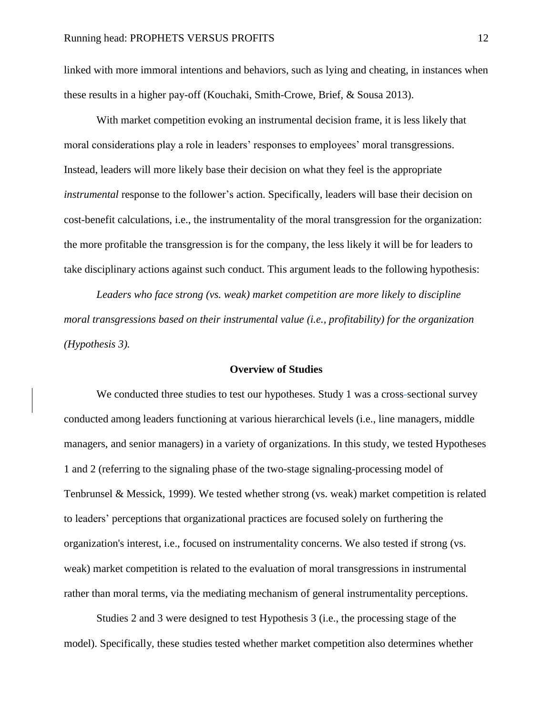linked with more immoral intentions and behaviors, such as lying and cheating, in instances when these results in a higher pay-off (Kouchaki, Smith-Crowe, Brief, & Sousa 2013).

With market competition evoking an instrumental decision frame, it is less likely that moral considerations play a role in leaders' responses to employees' moral transgressions. Instead, leaders will more likely base their decision on what they feel is the appropriate *instrumental* response to the follower's action. Specifically, leaders will base their decision on cost-benefit calculations, i.e., the instrumentality of the moral transgression for the organization: the more profitable the transgression is for the company, the less likely it will be for leaders to take disciplinary actions against such conduct. This argument leads to the following hypothesis:

*Leaders who face strong (vs. weak) market competition are more likely to discipline moral transgressions based on their instrumental value (i.e., profitability) for the organization (Hypothesis 3).*

# **Overview of Studies**

We conducted three studies to test our hypotheses. Study 1 was a cross-sectional survey conducted among leaders functioning at various hierarchical levels (i.e., line managers, middle managers, and senior managers) in a variety of organizations. In this study, we tested Hypotheses 1 and 2 (referring to the signaling phase of the two-stage signaling-processing model of Tenbrunsel & Messick, 1999). We tested whether strong (vs. weak) market competition is related to leaders' perceptions that organizational practices are focused solely on furthering the organization's interest, i.e., focused on instrumentality concerns. We also tested if strong (vs. weak) market competition is related to the evaluation of moral transgressions in instrumental rather than moral terms, via the mediating mechanism of general instrumentality perceptions.

Studies 2 and 3 were designed to test Hypothesis 3 (i.e., the processing stage of the model). Specifically, these studies tested whether market competition also determines whether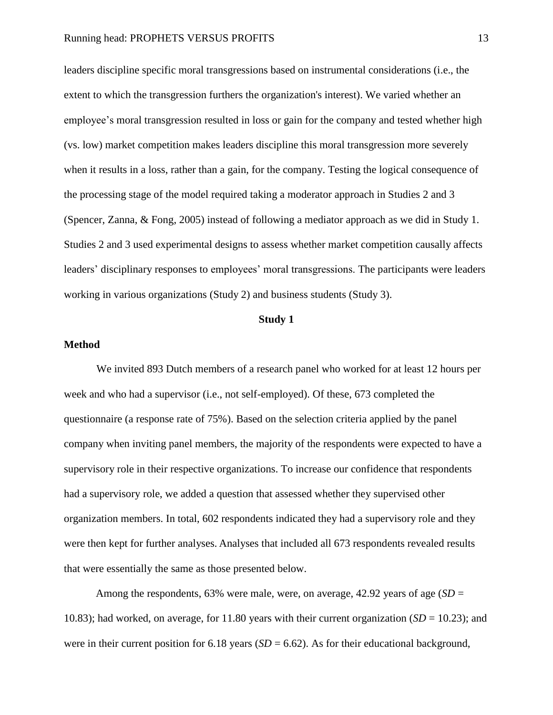leaders discipline specific moral transgressions based on instrumental considerations (i.e., the extent to which the transgression furthers the organization's interest). We varied whether an employee's moral transgression resulted in loss or gain for the company and tested whether high (vs. low) market competition makes leaders discipline this moral transgression more severely when it results in a loss, rather than a gain, for the company. Testing the logical consequence of the processing stage of the model required taking a moderator approach in Studies 2 and 3 (Spencer, Zanna, & Fong, 2005) instead of following a mediator approach as we did in Study 1. Studies 2 and 3 used experimental designs to assess whether market competition causally affects leaders' disciplinary responses to employees' moral transgressions. The participants were leaders working in various organizations (Study 2) and business students (Study 3).

#### **Study 1**

# **Method**

We invited 893 Dutch members of a research panel who worked for at least 12 hours per week and who had a supervisor (i.e., not self-employed). Of these, 673 completed the questionnaire (a response rate of 75%). Based on the selection criteria applied by the panel company when inviting panel members, the majority of the respondents were expected to have a supervisory role in their respective organizations. To increase our confidence that respondents had a supervisory role, we added a question that assessed whether they supervised other organization members. In total, 602 respondents indicated they had a supervisory role and they were then kept for further analyses. Analyses that included all 673 respondents revealed results that were essentially the same as those presented below.

Among the respondents, 63% were male, were, on average, 42.92 years of age (*SD* = 10.83); had worked, on average, for 11.80 years with their current organization  $(SD = 10.23)$ ; and were in their current position for 6.18 years  $(SD = 6.62)$ . As for their educational background,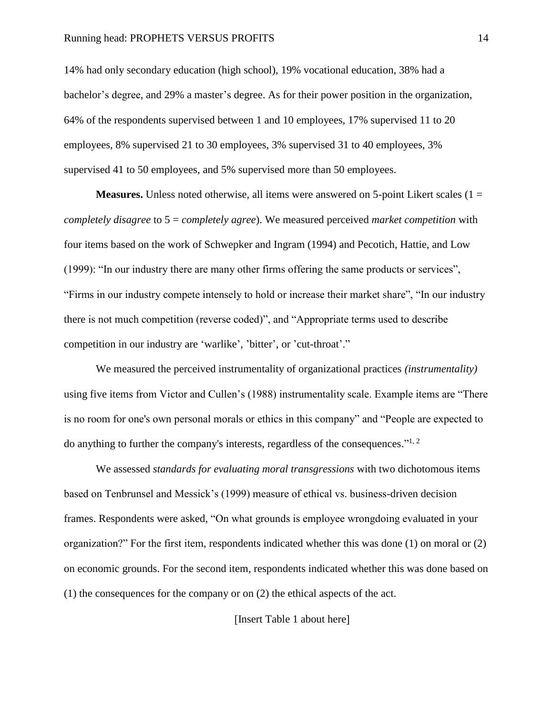14% had only secondary education (high school), 19% vocational education, 38% had a bachelor's degree, and 29% a master's degree. As for their power position in the organization, 64% of the respondents supervised between 1 and 10 employees, 17% supervised 11 to 20 employees, 8% supervised 21 to 30 employees, 3% supervised 31 to 40 employees, 3% supervised 41 to 50 employees, and 5% supervised more than 50 employees.

**Measures.** Unless noted otherwise, all items were answered on 5-point Likert scales  $(1 =$ *completely disagree* to 5 = *completely agree*). We measured perceived *market competition* with four items based on the work of Schwepker and Ingram (1994) and Pecotich, Hattie, and Low (1999): "In our industry there are many other firms offering the same products or services", "Firms in our industry compete intensely to hold or increase their market share", "In our industry there is not much competition (reverse coded)", and "Appropriate terms used to describe competition in our industry are 'warlike', 'bitter', or 'cut-throat'."

We measured the perceived instrumentality of organizational practices *(instrumentality)*  using five items from Victor and Cullen's (1988) instrumentality scale. Example items are "There is no room for one's own personal morals or ethics in this company" and "People are expected to do anything to further the company's interests, regardless of the consequences."<sup>1, 2</sup>

We assessed *standards for evaluating moral transgressions* with two dichotomous items based on Tenbrunsel and Messick's (1999) measure of ethical vs. business-driven decision frames. Respondents were asked, "On what grounds is employee wrongdoing evaluated in your organization?" For the first item, respondents indicated whether this was done (1) on moral or (2) on economic grounds. For the second item, respondents indicated whether this was done based on (1) the consequences for the company or on (2) the ethical aspects of the act.

[Insert Table 1 about here]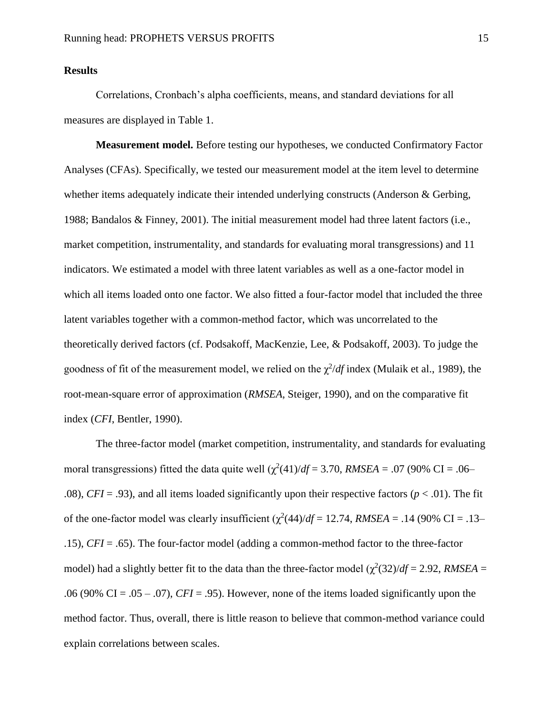# **Results**

Correlations, Cronbach's alpha coefficients, means, and standard deviations for all measures are displayed in Table 1.

**Measurement model.** Before testing our hypotheses, we conducted Confirmatory Factor Analyses (CFAs). Specifically, we tested our measurement model at the item level to determine whether items adequately indicate their intended underlying constructs (Anderson & Gerbing, 1988; Bandalos & Finney, 2001). The initial measurement model had three latent factors (i.e., market competition, instrumentality, and standards for evaluating moral transgressions) and 11 indicators. We estimated a model with three latent variables as well as a one-factor model in which all items loaded onto one factor. We also fitted a four-factor model that included the three latent variables together with a common-method factor, which was uncorrelated to the theoretically derived factors (cf. Podsakoff, MacKenzie, Lee, & Podsakoff, 2003). To judge the goodness of fit of the measurement model, we relied on the  $\chi^2/df$  index (Mulaik et al., 1989), the root-mean-square error of approximation (*RMSEA*, Steiger, 1990), and on the comparative fit index (*CFI*, Bentler, 1990).

The three-factor model (market competition, instrumentality, and standards for evaluating moral transgressions) fitted the data quite well  $(\chi^2(41)/df = 3.70$ , *RMSEA* = .07 (90% CI = .06– .08), *CFI* = .93), and all items loaded significantly upon their respective factors ( $p < .01$ ). The fit of the one-factor model was clearly insufficient  $(\chi^2(44)/df = 12.74$ , *RMSEA* = .14 (90% CI = .13– .15), *CFI* = .65). The four-factor model (adding a common-method factor to the three-factor model) had a slightly better fit to the data than the three-factor model  $(\chi^2(32)/df = 2.92, RMSEA =$ .06 (90% CI = .05 – .07), *CFI* = .95). However, none of the items loaded significantly upon the method factor. Thus, overall, there is little reason to believe that common-method variance could explain correlations between scales.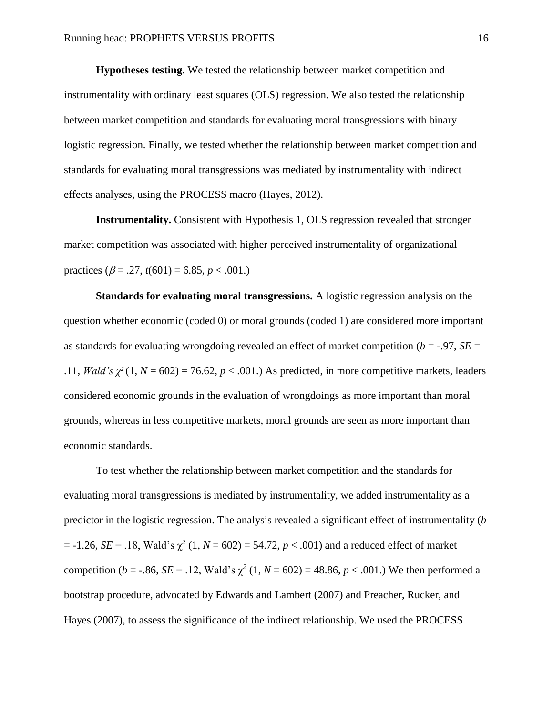**Hypotheses testing.** We tested the relationship between market competition and instrumentality with ordinary least squares (OLS) regression. We also tested the relationship between market competition and standards for evaluating moral transgressions with binary logistic regression. Finally, we tested whether the relationship between market competition and standards for evaluating moral transgressions was mediated by instrumentality with indirect effects analyses, using the PROCESS macro (Hayes, 2012).

**Instrumentality.** Consistent with Hypothesis 1, OLS regression revealed that stronger market competition was associated with higher perceived instrumentality of organizational practices  $(\beta = .27, t(601) = 6.85, p < .001.)$ 

**Standards for evaluating moral transgressions.** A logistic regression analysis on the question whether economic (coded 0) or moral grounds (coded 1) are considered more important as standards for evaluating wrongdoing revealed an effect of market competition ( $b = -0.97$ ,  $SE =$ .11, *Wald's*  $\chi^2(1, N = 602) = 76.62$ ,  $p < .001$ .) As predicted, in more competitive markets, leaders considered economic grounds in the evaluation of wrongdoings as more important than moral grounds, whereas in less competitive markets, moral grounds are seen as more important than economic standards.

To test whether the relationship between market competition and the standards for evaluating moral transgressions is mediated by instrumentality, we added instrumentality as a predictor in the logistic regression. The analysis revealed a significant effect of instrumentality (*b*  $= -1.26$ , *SE* = .18, Wald's  $\chi^2$  (1, *N* = 602) = 54.72, *p* < .001) and a reduced effect of market competition (*b* = -.86, *SE* = .12, Wald's  $\chi^2$  (1, *N* = 602) = 48.86, *p* < .001.) We then performed a bootstrap procedure, advocated by Edwards and Lambert (2007) and Preacher, Rucker, and Hayes (2007), to assess the significance of the indirect relationship. We used the PROCESS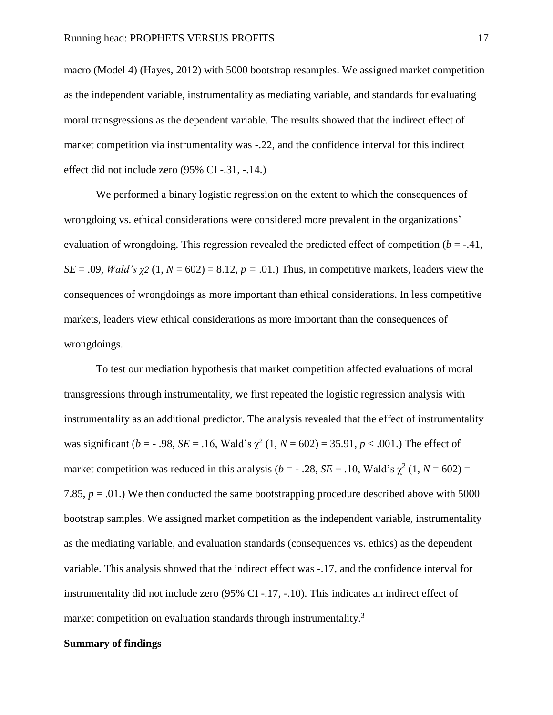macro (Model 4) (Hayes, 2012) with 5000 bootstrap resamples. We assigned market competition as the independent variable, instrumentality as mediating variable, and standards for evaluating moral transgressions as the dependent variable. The results showed that the indirect effect of market competition via instrumentality was -.22, and the confidence interval for this indirect effect did not include zero (95% CI -.31, -.14.)

We performed a binary logistic regression on the extent to which the consequences of wrongdoing vs. ethical considerations were considered more prevalent in the organizations' evaluation of wrongdoing. This regression revealed the predicted effect of competition  $(b = -0.41)$ , *SE* = .09, *Wald's*  $\gamma$ 2 (1, *N* = 602) = 8.12, *p* = .01.) Thus, in competitive markets, leaders view the consequences of wrongdoings as more important than ethical considerations. In less competitive markets, leaders view ethical considerations as more important than the consequences of wrongdoings.

To test our mediation hypothesis that market competition affected evaluations of moral transgressions through instrumentality, we first repeated the logistic regression analysis with instrumentality as an additional predictor. The analysis revealed that the effect of instrumentality was significant ( $b = -0.98$ ,  $SE = 0.16$ , Wald's  $\chi^2(1, N = 602) = 35.91$ ,  $p < 0.001$ .) The effect of market competition was reduced in this analysis ( $b = -0.28$ ,  $SE = 0.10$ , Wald's  $\chi^2(1, N = 602) =$ 7.85,  $p = .01$ .) We then conducted the same bootstrapping procedure described above with 5000 bootstrap samples. We assigned market competition as the independent variable, instrumentality as the mediating variable, and evaluation standards (consequences vs. ethics) as the dependent variable. This analysis showed that the indirect effect was -.17, and the confidence interval for instrumentality did not include zero (95% CI -.17, -.10). This indicates an indirect effect of market competition on evaluation standards through instrumentality.<sup>3</sup>

# **Summary of findings**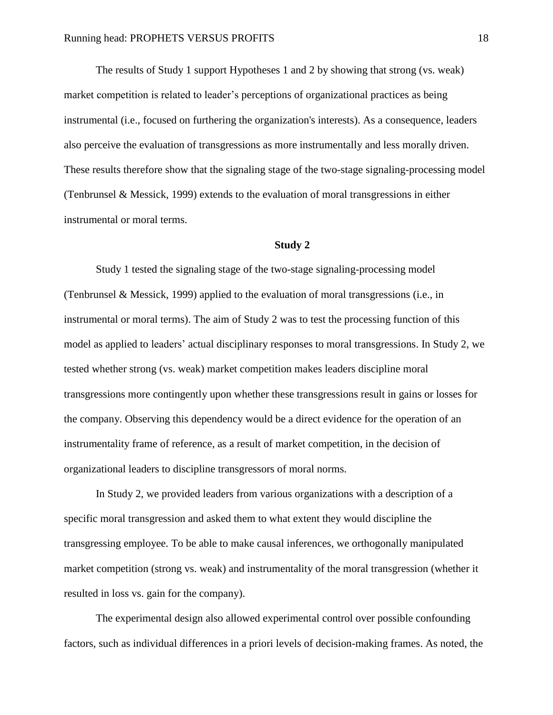The results of Study 1 support Hypotheses 1 and 2 by showing that strong (vs. weak) market competition is related to leader's perceptions of organizational practices as being instrumental (i.e., focused on furthering the organization's interests). As a consequence, leaders also perceive the evaluation of transgressions as more instrumentally and less morally driven. These results therefore show that the signaling stage of the two-stage signaling-processing model (Tenbrunsel & Messick, 1999) extends to the evaluation of moral transgressions in either instrumental or moral terms.

#### **Study 2**

Study 1 tested the signaling stage of the two-stage signaling-processing model (Tenbrunsel & Messick, 1999) applied to the evaluation of moral transgressions (i.e., in instrumental or moral terms). The aim of Study 2 was to test the processing function of this model as applied to leaders' actual disciplinary responses to moral transgressions. In Study 2, we tested whether strong (vs. weak) market competition makes leaders discipline moral transgressions more contingently upon whether these transgressions result in gains or losses for the company. Observing this dependency would be a direct evidence for the operation of an instrumentality frame of reference, as a result of market competition, in the decision of organizational leaders to discipline transgressors of moral norms.

In Study 2, we provided leaders from various organizations with a description of a specific moral transgression and asked them to what extent they would discipline the transgressing employee. To be able to make causal inferences, we orthogonally manipulated market competition (strong vs. weak) and instrumentality of the moral transgression (whether it resulted in loss vs. gain for the company).

The experimental design also allowed experimental control over possible confounding factors, such as individual differences in a priori levels of decision-making frames. As noted, the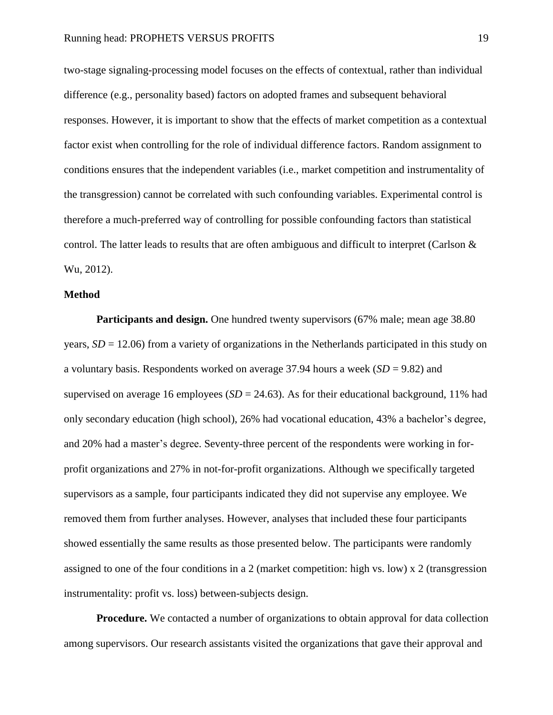two-stage signaling-processing model focuses on the effects of contextual, rather than individual difference (e.g., personality based) factors on adopted frames and subsequent behavioral responses. However, it is important to show that the effects of market competition as a contextual factor exist when controlling for the role of individual difference factors. Random assignment to conditions ensures that the independent variables (i.e., market competition and instrumentality of the transgression) cannot be correlated with such confounding variables. Experimental control is therefore a much-preferred way of controlling for possible confounding factors than statistical control. The latter leads to results that are often ambiguous and difficult to interpret (Carlson & Wu, 2012).

## **Method**

**Participants and design.** One hundred twenty supervisors (67% male; mean age 38.80 years,  $SD = 12.06$ ) from a variety of organizations in the Netherlands participated in this study on a voluntary basis. Respondents worked on average 37.94 hours a week (*SD* = 9.82) and supervised on average 16 employees ( $SD = 24.63$ ). As for their educational background, 11% had only secondary education (high school), 26% had vocational education, 43% a bachelor's degree, and 20% had a master's degree. Seventy-three percent of the respondents were working in forprofit organizations and 27% in not-for-profit organizations. Although we specifically targeted supervisors as a sample, four participants indicated they did not supervise any employee. We removed them from further analyses. However, analyses that included these four participants showed essentially the same results as those presented below. The participants were randomly assigned to one of the four conditions in a 2 (market competition: high vs. low) x 2 (transgression instrumentality: profit vs. loss) between-subjects design.

**Procedure.** We contacted a number of organizations to obtain approval for data collection among supervisors. Our research assistants visited the organizations that gave their approval and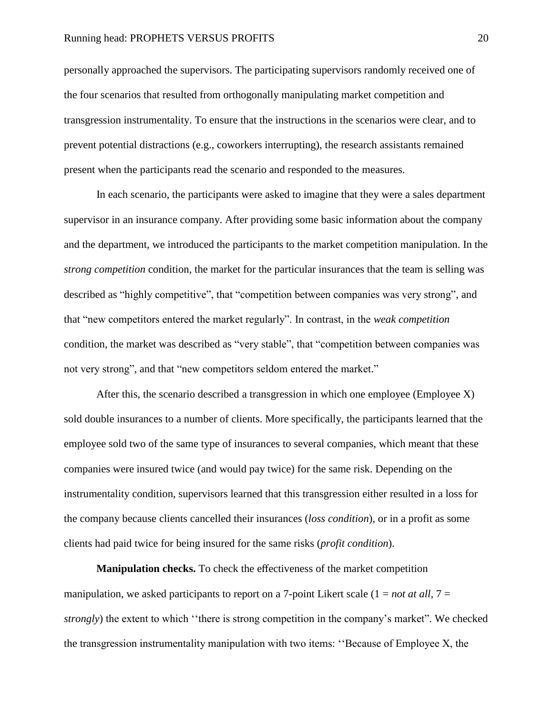personally approached the supervisors. The participating supervisors randomly received one of the four scenarios that resulted from orthogonally manipulating market competition and transgression instrumentality. To ensure that the instructions in the scenarios were clear, and to prevent potential distractions (e.g., coworkers interrupting), the research assistants remained present when the participants read the scenario and responded to the measures.

In each scenario, the participants were asked to imagine that they were a sales department supervisor in an insurance company. After providing some basic information about the company and the department, we introduced the participants to the market competition manipulation. In the *strong competition* condition, the market for the particular insurances that the team is selling was described as "highly competitive", that "competition between companies was very strong", and that "new competitors entered the market regularly". In contrast, in the *weak competition* condition, the market was described as "very stable", that "competition between companies was not very strong", and that "new competitors seldom entered the market."

After this, the scenario described a transgression in which one employee (Employee X) sold double insurances to a number of clients. More specifically, the participants learned that the employee sold two of the same type of insurances to several companies, which meant that these companies were insured twice (and would pay twice) for the same risk. Depending on the instrumentality condition, supervisors learned that this transgression either resulted in a loss for the company because clients cancelled their insurances (*loss condition*), or in a profit as some clients had paid twice for being insured for the same risks (*profit condition*).

**Manipulation checks.** To check the effectiveness of the market competition manipulation, we asked participants to report on a 7-point Likert scale  $(1 = not \text{ at all}, 7 =$ *strongly*) the extent to which ''there is strong competition in the company's market". We checked the transgression instrumentality manipulation with two items: ''Because of Employee X, the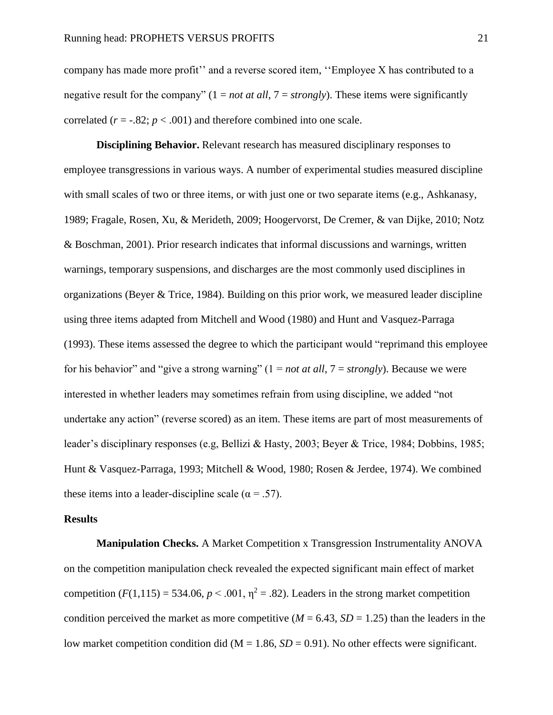company has made more profit'' and a reverse scored item, ''Employee X has contributed to a negative result for the company" (1 = *not at all*, 7 = *strongly*). These items were significantly correlated  $(r = -.82; p < .001)$  and therefore combined into one scale.

**Disciplining Behavior.** Relevant research has measured disciplinary responses to employee transgressions in various ways. A number of experimental studies measured discipline with small scales of two or three items, or with just one or two separate items (e.g., Ashkanasy, 1989; Fragale, Rosen, Xu, & Merideth, 2009; Hoogervorst, De Cremer, & van Dijke, 2010; Notz & Boschman, 2001). Prior research indicates that informal discussions and warnings, written warnings, temporary suspensions, and discharges are the most commonly used disciplines in organizations (Beyer & Trice, 1984). Building on this prior work, we measured leader discipline using three items adapted from Mitchell and Wood (1980) and Hunt and Vasquez-Parraga (1993). These items assessed the degree to which the participant would "reprimand this employee for his behavior" and "give a strong warning" (1 = *not at all*, 7 = *strongly*). Because we were interested in whether leaders may sometimes refrain from using discipline, we added "not undertake any action" (reverse scored) as an item. These items are part of most measurements of leader's disciplinary responses (e.g, Bellizi & Hasty, 2003; Beyer & Trice, 1984; Dobbins, 1985; Hunt & Vasquez-Parraga, 1993; Mitchell & Wood, 1980; Rosen & Jerdee, 1974). We combined these items into a leader-discipline scale ( $\alpha$  = .57).

## **Results**

**Manipulation Checks.** A Market Competition x Transgression Instrumentality ANOVA on the competition manipulation check revealed the expected significant main effect of market competition  $(F(1,115) = 534.06, p < .001, \eta^2 = .82)$ . Leaders in the strong market competition condition perceived the market as more competitive ( $M = 6.43$ ,  $SD = 1.25$ ) than the leaders in the low market competition condition did ( $M = 1.86$ ,  $SD = 0.91$ ). No other effects were significant.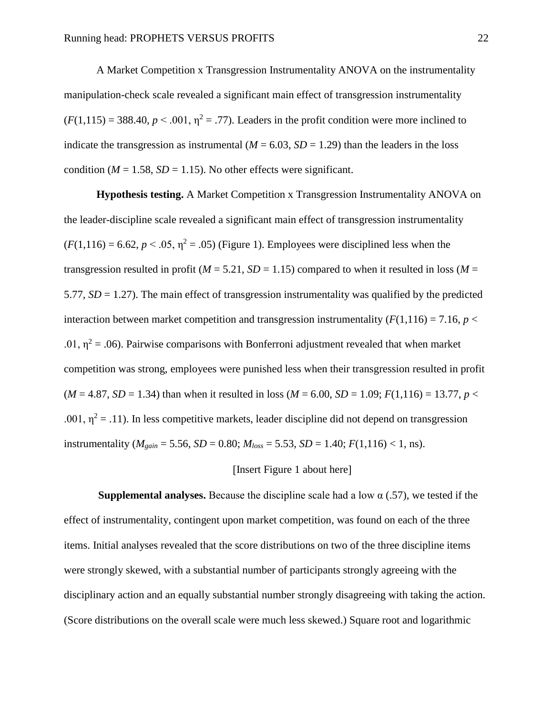A Market Competition x Transgression Instrumentality ANOVA on the instrumentality manipulation-check scale revealed a significant main effect of transgression instrumentality  $(F(1,115) = 388.40, p \le 0.001, n^2 = 0.77)$ . Leaders in the profit condition were more inclined to indicate the transgression as instrumental  $(M = 6.03, SD = 1.29)$  than the leaders in the loss condition ( $M = 1.58$ ,  $SD = 1.15$ ). No other effects were significant.

**Hypothesis testing.** A Market Competition x Transgression Instrumentality ANOVA on the leader-discipline scale revealed a significant main effect of transgression instrumentality  $(F(1,116) = 6.62, p < .05, n^2 = .05)$  (Figure 1). Employees were disciplined less when the transgression resulted in profit ( $M = 5.21$ ,  $SD = 1.15$ ) compared to when it resulted in loss ( $M =$ 5.77,  $SD = 1.27$ ). The main effect of transgression instrumentality was qualified by the predicted interaction between market competition and transgression instrumentality  $(F(1,116) = 7.16, p <$ .01,  $\eta^2$  = .06). Pairwise comparisons with Bonferroni adjustment revealed that when market competition was strong, employees were punished less when their transgression resulted in profit  $(M = 4.87, SD = 1.34)$  than when it resulted in loss  $(M = 6.00, SD = 1.09; F(1,116) = 13.77, p <$ .001,  $\eta^2 = .11$ ). In less competitive markets, leader discipline did not depend on transgression instrumentality ( $M_{gain} = 5.56$ ,  $SD = 0.80$ ;  $M_{loss} = 5.53$ ,  $SD = 1.40$ ;  $F(1,116) < 1$ , ns).

### Insert Figure 1 about here

**Supplemental analyses.** Because the discipline scale had a low  $\alpha$  (.57), we tested if the effect of instrumentality, contingent upon market competition, was found on each of the three items. Initial analyses revealed that the score distributions on two of the three discipline items were strongly skewed, with a substantial number of participants strongly agreeing with the disciplinary action and an equally substantial number strongly disagreeing with taking the action. (Score distributions on the overall scale were much less skewed.) Square root and logarithmic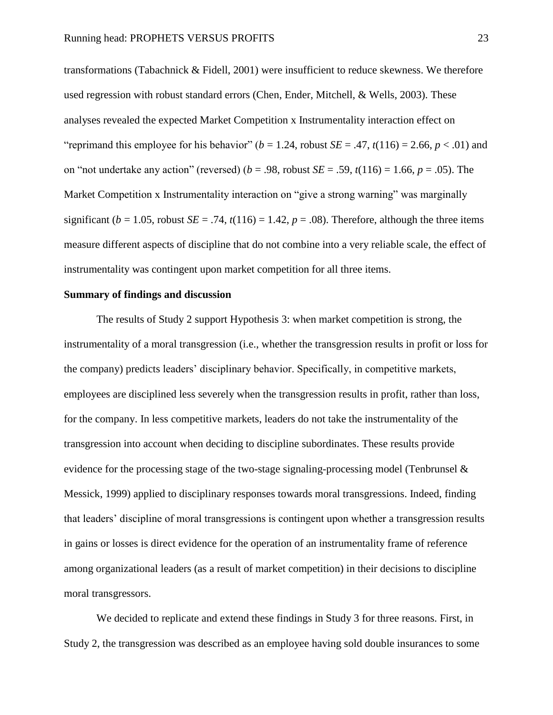transformations (Tabachnick & Fidell, 2001) were insufficient to reduce skewness. We therefore used regression with robust standard errors (Chen, Ender, Mitchell, & Wells, 2003). These analyses revealed the expected Market Competition x Instrumentality interaction effect on "reprimand this employee for his behavior" ( $b = 1.24$ , robust *SE* = .47,  $t(116) = 2.66$ ,  $p < .01$ ) and on "not undertake any action" (reversed) ( $b = .98$ , robust  $SE = .59$ ,  $t(116) = 1.66$ ,  $p = .05$ ). The Market Competition x Instrumentality interaction on "give a strong warning" was marginally significant ( $b = 1.05$ , robust *SE* = .74,  $t(116) = 1.42$ ,  $p = .08$ ). Therefore, although the three items measure different aspects of discipline that do not combine into a very reliable scale, the effect of instrumentality was contingent upon market competition for all three items.

# **Summary of findings and discussion**

The results of Study 2 support Hypothesis 3: when market competition is strong, the instrumentality of a moral transgression (i.e., whether the transgression results in profit or loss for the company) predicts leaders' disciplinary behavior. Specifically, in competitive markets, employees are disciplined less severely when the transgression results in profit, rather than loss, for the company. In less competitive markets, leaders do not take the instrumentality of the transgression into account when deciding to discipline subordinates. These results provide evidence for the processing stage of the two-stage signaling-processing model (Tenbrunsel & Messick, 1999) applied to disciplinary responses towards moral transgressions. Indeed, finding that leaders' discipline of moral transgressions is contingent upon whether a transgression results in gains or losses is direct evidence for the operation of an instrumentality frame of reference among organizational leaders (as a result of market competition) in their decisions to discipline moral transgressors.

We decided to replicate and extend these findings in Study 3 for three reasons. First, in Study 2, the transgression was described as an employee having sold double insurances to some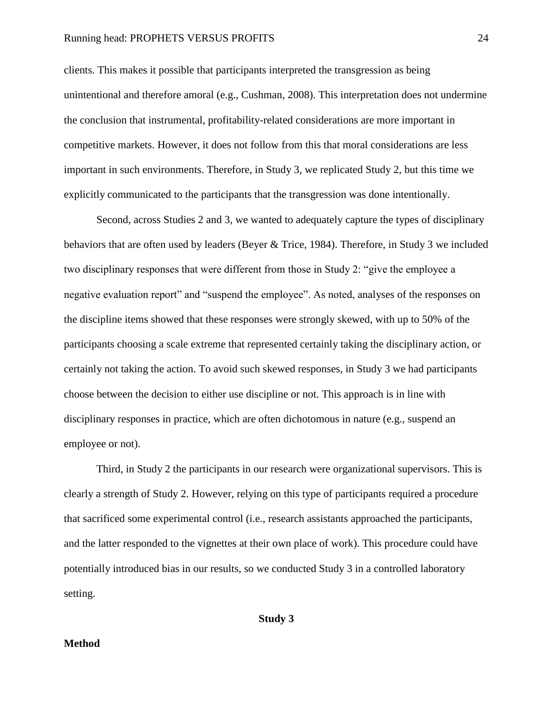clients. This makes it possible that participants interpreted the transgression as being unintentional and therefore amoral (e.g., Cushman, 2008). This interpretation does not undermine the conclusion that instrumental, profitability-related considerations are more important in competitive markets. However, it does not follow from this that moral considerations are less important in such environments. Therefore, in Study 3, we replicated Study 2, but this time we explicitly communicated to the participants that the transgression was done intentionally.

Second, across Studies 2 and 3, we wanted to adequately capture the types of disciplinary behaviors that are often used by leaders (Beyer & Trice, 1984). Therefore, in Study 3 we included two disciplinary responses that were different from those in Study 2: "give the employee a negative evaluation report" and "suspend the employee". As noted, analyses of the responses on the discipline items showed that these responses were strongly skewed, with up to 50% of the participants choosing a scale extreme that represented certainly taking the disciplinary action, or certainly not taking the action. To avoid such skewed responses, in Study 3 we had participants choose between the decision to either use discipline or not. This approach is in line with disciplinary responses in practice, which are often dichotomous in nature (e.g., suspend an employee or not).

Third, in Study 2 the participants in our research were organizational supervisors. This is clearly a strength of Study 2. However, relying on this type of participants required a procedure that sacrificed some experimental control (i.e., research assistants approached the participants, and the latter responded to the vignettes at their own place of work). This procedure could have potentially introduced bias in our results, so we conducted Study 3 in a controlled laboratory setting.

**Study 3**

# **Method**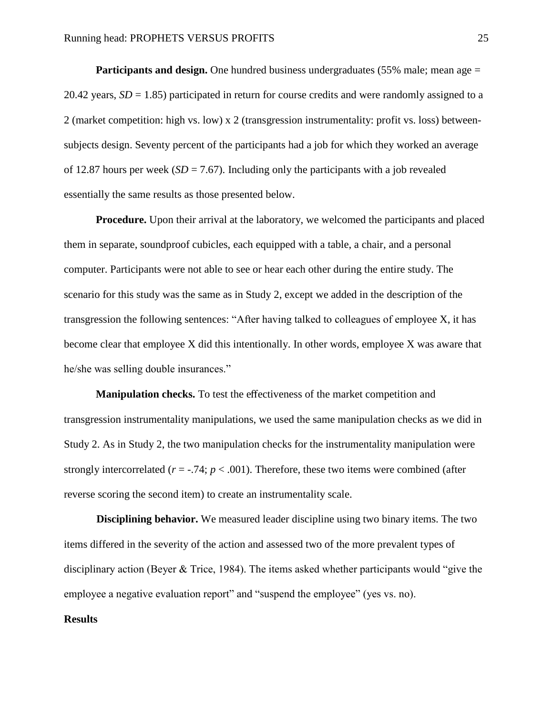**Participants and design.** One hundred business undergraduates (55% male; mean age = 20.42 years,  $SD = 1.85$ ) participated in return for course credits and were randomly assigned to a 2 (market competition: high vs. low) x 2 (transgression instrumentality: profit vs. loss) betweensubjects design. Seventy percent of the participants had a job for which they worked an average of 12.87 hours per week  $(SD = 7.67)$ . Including only the participants with a job revealed essentially the same results as those presented below.

**Procedure.** Upon their arrival at the laboratory, we welcomed the participants and placed them in separate, soundproof cubicles, each equipped with a table, a chair, and a personal computer. Participants were not able to see or hear each other during the entire study. The scenario for this study was the same as in Study 2, except we added in the description of the transgression the following sentences: "After having talked to colleagues of employee X, it has become clear that employee X did this intentionally. In other words, employee X was aware that he/she was selling double insurances."

**Manipulation checks.** To test the effectiveness of the market competition and transgression instrumentality manipulations, we used the same manipulation checks as we did in Study 2. As in Study 2, the two manipulation checks for the instrumentality manipulation were strongly intercorrelated  $(r = -.74; p < .001)$ . Therefore, these two items were combined (after reverse scoring the second item) to create an instrumentality scale.

**Disciplining behavior.** We measured leader discipline using two binary items. The two items differed in the severity of the action and assessed two of the more prevalent types of disciplinary action (Beyer & Trice, 1984). The items asked whether participants would "give the employee a negative evaluation report" and "suspend the employee" (yes vs. no).

#### **Results**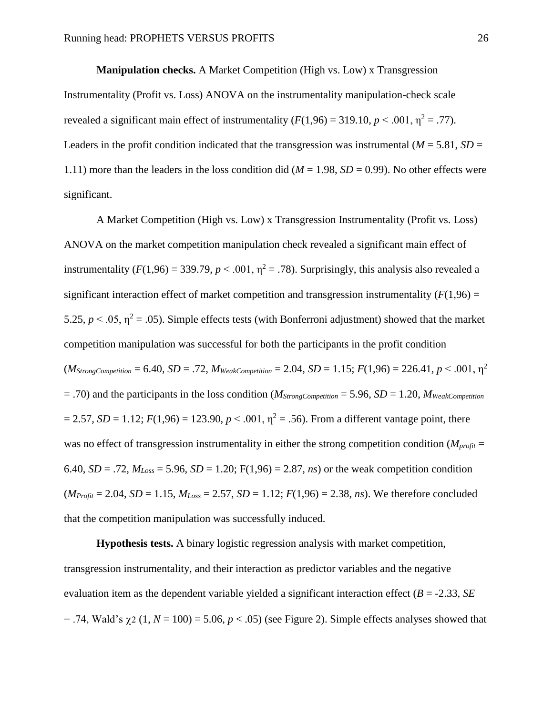**Manipulation checks.** A Market Competition (High vs. Low) x Transgression Instrumentality (Profit vs. Loss) ANOVA on the instrumentality manipulation-check scale revealed a significant main effect of instrumentality  $(F(1,96) = 319.10, p \le 0.001, n^2 = .77)$ . Leaders in the profit condition indicated that the transgression was instrumental ( $M = 5.81$ ,  $SD =$ 1.11) more than the leaders in the loss condition did ( $M = 1.98$ ,  $SD = 0.99$ ). No other effects were significant.

A Market Competition (High vs. Low) x Transgression Instrumentality (Profit vs. Loss) ANOVA on the market competition manipulation check revealed a significant main effect of instrumentality ( $F(1,96) = 339.79$ ,  $p < .001$ ,  $\eta^2 = .78$ ). Surprisingly, this analysis also revealed a significant interaction effect of market competition and transgression instrumentality  $(F(1,96) =$ 5.25,  $p < .05$ ,  $\eta^2 = .05$ ). Simple effects tests (with Bonferroni adjustment) showed that the market competition manipulation was successful for both the participants in the profit condition  $(M_{StrongCompetition} = 6.40, SD = .72, M_{WeakCompetition} = 2.04, SD = 1.15; F(1,96) = 226.41, p < .001, \eta^2$ = .70) and the participants in the loss condition (*MStrongCompetition* = 5.96, *SD* = 1.20, *MWeakCompetition*  $= 2.57$ , *SD* = 1.12; *F*(1,96) = 123.90, *p* < .001,  $\eta^2 = .56$ ). From a different vantage point, there was no effect of transgression instrumentality in either the strong competition condition ( $M_{profit}$  = 6.40,  $SD = .72$ ,  $M_{Loss} = 5.96$ ,  $SD = 1.20$ ;  $F(1,96) = 2.87$ , *ns*) or the weak competition condition  $(M_{Profit} = 2.04, SD = 1.15, M_{Loss} = 2.57, SD = 1.12; F(1,96) = 2.38, ns$ ). We therefore concluded that the competition manipulation was successfully induced.

**Hypothesis tests.** A binary logistic regression analysis with market competition, transgression instrumentality, and their interaction as predictor variables and the negative evaluation item as the dependent variable yielded a significant interaction effect (*B* = -2.33, *SE*  $= .74$ , Wald's  $\gamma$ 2 (1, *N* = 100) = 5.06, *p* < .05) (see Figure 2). Simple effects analyses showed that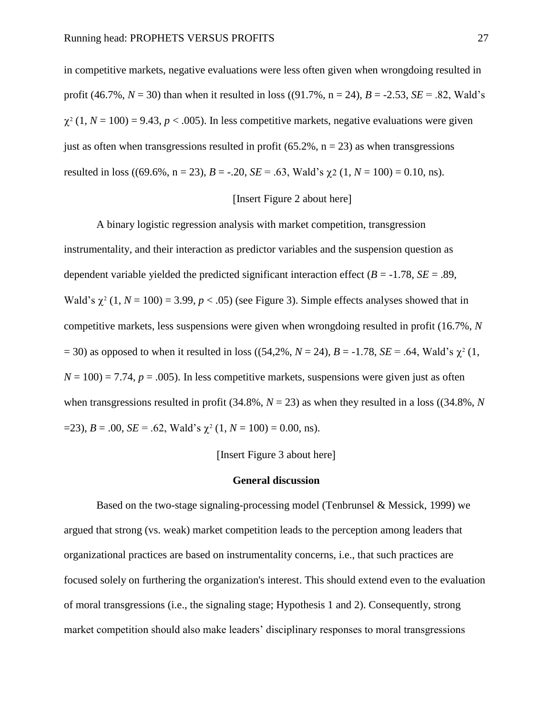in competitive markets, negative evaluations were less often given when wrongdoing resulted in profit (46.7%,  $N = 30$ ) than when it resulted in loss ((91.7%, n = 24),  $B = -2.53$ ,  $SE = .82$ , Wald's  $\chi^2$  (1, *N* = 100) = 9.43, *p* < .005). In less competitive markets, negative evaluations were given just as often when transgressions resulted in profit (65.2%,  $n = 23$ ) as when transgressions resulted in loss ((69.6%, n = 23),  $B = -.20$ ,  $SE = .63$ , Wald's  $\chi$ 2 (1,  $N = 100$ ) = 0.10, ns).

# Insert Figure 2 about here

A binary logistic regression analysis with market competition, transgression instrumentality, and their interaction as predictor variables and the suspension question as dependent variable yielded the predicted significant interaction effect  $(B = -1.78, SE = .89,$ Wald's  $\chi^2$  (1,  $N = 100$ ) = 3.99,  $p < .05$ ) (see Figure 3). Simple effects analyses showed that in competitive markets, less suspensions were given when wrongdoing resulted in profit (16.7%, *N*  $(54,2\%, N = 24)$ ,  $B = -1.78$ ,  $SE = .64$ , Wald's  $\chi^2(1, 16)$  $N = 100$ ) = 7.74,  $p = .005$ ). In less competitive markets, suspensions were given just as often when transgressions resulted in profit (34.8%,  $N = 23$ ) as when they resulted in a loss ((34.8%,  $N$ )  $=$  23),  $B = .00$ ,  $SE = .62$ , Wald's  $\chi^2$  (1,  $N = 100$ ) = 0.00, ns).

#### [Insert Figure 3 about here]

#### **General discussion**

Based on the two-stage signaling-processing model (Tenbrunsel & Messick, 1999) we argued that strong (vs. weak) market competition leads to the perception among leaders that organizational practices are based on instrumentality concerns, i.e., that such practices are focused solely on furthering the organization's interest. This should extend even to the evaluation of moral transgressions (i.e., the signaling stage; Hypothesis 1 and 2). Consequently, strong market competition should also make leaders' disciplinary responses to moral transgressions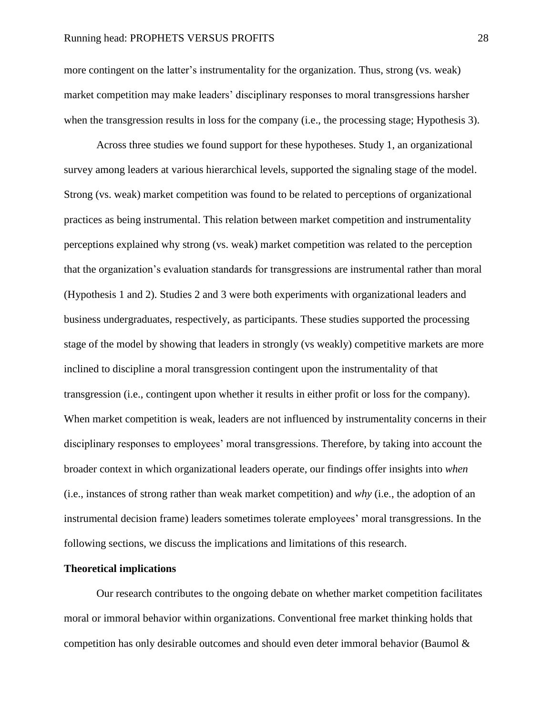more contingent on the latter's instrumentality for the organization. Thus, strong (vs. weak) market competition may make leaders' disciplinary responses to moral transgressions harsher when the transgression results in loss for the company (i.e., the processing stage; Hypothesis 3).

Across three studies we found support for these hypotheses. Study 1, an organizational survey among leaders at various hierarchical levels, supported the signaling stage of the model. Strong (vs. weak) market competition was found to be related to perceptions of organizational practices as being instrumental. This relation between market competition and instrumentality perceptions explained why strong (vs. weak) market competition was related to the perception that the organization's evaluation standards for transgressions are instrumental rather than moral (Hypothesis 1 and 2). Studies 2 and 3 were both experiments with organizational leaders and business undergraduates, respectively, as participants. These studies supported the processing stage of the model by showing that leaders in strongly (vs weakly) competitive markets are more inclined to discipline a moral transgression contingent upon the instrumentality of that transgression (i.e., contingent upon whether it results in either profit or loss for the company). When market competition is weak, leaders are not influenced by instrumentality concerns in their disciplinary responses to employees' moral transgressions. Therefore, by taking into account the broader context in which organizational leaders operate, our findings offer insights into *when* (i.e., instances of strong rather than weak market competition) and *why* (i.e., the adoption of an instrumental decision frame) leaders sometimes tolerate employees' moral transgressions. In the following sections, we discuss the implications and limitations of this research.

# **Theoretical implications**

Our research contributes to the ongoing debate on whether market competition facilitates moral or immoral behavior within organizations. Conventional free market thinking holds that competition has only desirable outcomes and should even deter immoral behavior (Baumol  $\&$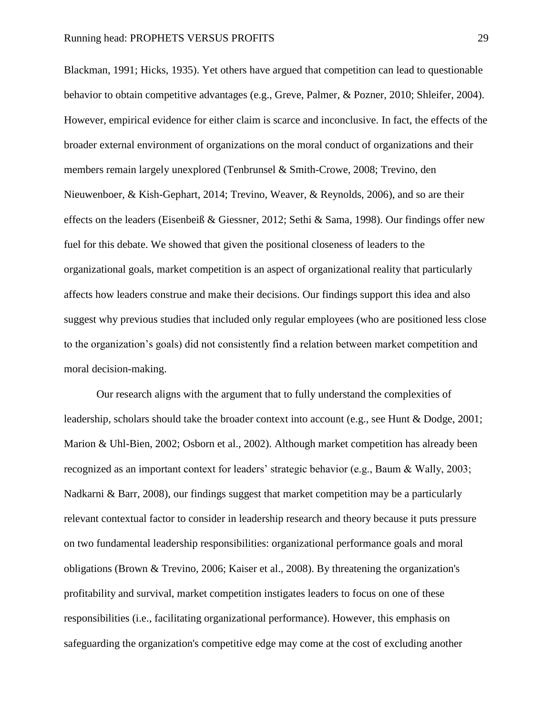Blackman, 1991; Hicks, 1935). Yet others have argued that competition can lead to questionable behavior to obtain competitive advantages (e.g., Greve, Palmer, & Pozner, 2010; Shleifer, 2004). However, empirical evidence for either claim is scarce and inconclusive. In fact, the effects of the broader external environment of organizations on the moral conduct of organizations and their members remain largely unexplored (Tenbrunsel & Smith-Crowe, 2008; Trevino, den Nieuwenboer, & Kish-Gephart, 2014; Trevino, Weaver, & Reynolds, 2006), and so are their effects on the leaders (Eisenbeiß & Giessner, 2012; Sethi & Sama, 1998). Our findings offer new fuel for this debate. We showed that given the positional closeness of leaders to the organizational goals, market competition is an aspect of organizational reality that particularly affects how leaders construe and make their decisions. Our findings support this idea and also suggest why previous studies that included only regular employees (who are positioned less close to the organization's goals) did not consistently find a relation between market competition and moral decision-making.

Our research aligns with the argument that to fully understand the complexities of leadership, scholars should take the broader context into account (e.g., see Hunt & Dodge, 2001; Marion & Uhl-Bien, 2002; Osborn et al., 2002). Although market competition has already been recognized as an important context for leaders' strategic behavior (e.g., Baum & Wally, 2003; Nadkarni & Barr, 2008), our findings suggest that market competition may be a particularly relevant contextual factor to consider in leadership research and theory because it puts pressure on two fundamental leadership responsibilities: organizational performance goals and moral obligations (Brown & Trevino, 2006; Kaiser et al., 2008). By threatening the organization's profitability and survival, market competition instigates leaders to focus on one of these responsibilities (i.e., facilitating organizational performance). However, this emphasis on safeguarding the organization's competitive edge may come at the cost of excluding another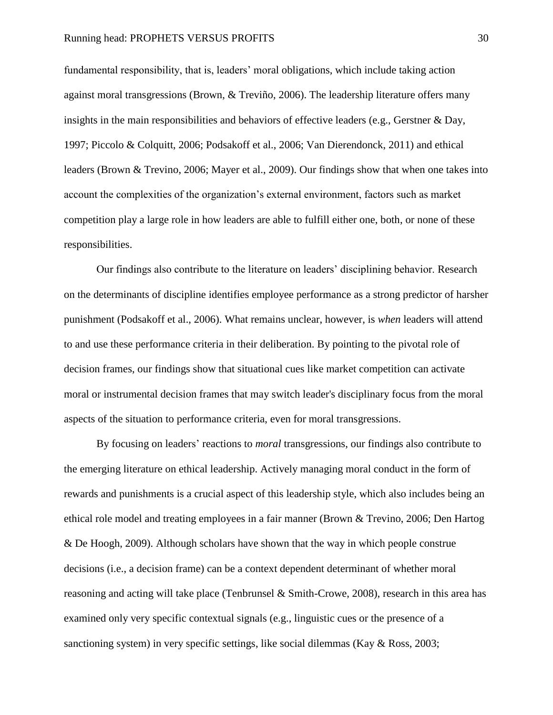fundamental responsibility, that is, leaders' moral obligations, which include taking action against moral transgressions (Brown, & Treviño, 2006). The leadership literature offers many insights in the main responsibilities and behaviors of effective leaders (e.g., Gerstner & Day, 1997; Piccolo & Colquitt, 2006; Podsakoff et al., 2006; Van Dierendonck, 2011) and ethical leaders (Brown & Trevino, 2006; Mayer et al., 2009). Our findings show that when one takes into account the complexities of the organization's external environment, factors such as market competition play a large role in how leaders are able to fulfill either one, both, or none of these responsibilities.

Our findings also contribute to the literature on leaders' disciplining behavior. Research on the determinants of discipline identifies employee performance as a strong predictor of harsher punishment (Podsakoff et al., 2006). What remains unclear, however, is *when* leaders will attend to and use these performance criteria in their deliberation. By pointing to the pivotal role of decision frames, our findings show that situational cues like market competition can activate moral or instrumental decision frames that may switch leader's disciplinary focus from the moral aspects of the situation to performance criteria, even for moral transgressions.

By focusing on leaders' reactions to *moral* transgressions, our findings also contribute to the emerging literature on ethical leadership. Actively managing moral conduct in the form of rewards and punishments is a crucial aspect of this leadership style, which also includes being an ethical role model and treating employees in a fair manner (Brown & Trevino, 2006; Den Hartog & De Hoogh, 2009). Although scholars have shown that the way in which people construe decisions (i.e., a decision frame) can be a context dependent determinant of whether moral reasoning and acting will take place (Tenbrunsel & Smith-Crowe, 2008), research in this area has examined only very specific contextual signals (e.g., linguistic cues or the presence of a sanctioning system) in very specific settings, like social dilemmas (Kay & Ross, 2003;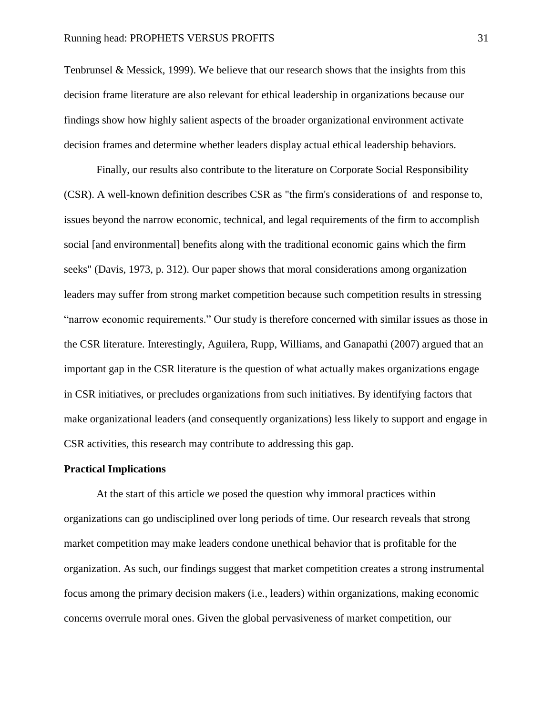Tenbrunsel & Messick, 1999). We believe that our research shows that the insights from this decision frame literature are also relevant for ethical leadership in organizations because our findings show how highly salient aspects of the broader organizational environment activate decision frames and determine whether leaders display actual ethical leadership behaviors.

Finally, our results also contribute to the literature on Corporate Social Responsibility (CSR). A well-known definition describes CSR as "the firm's considerations of and response to, issues beyond the narrow economic, technical, and legal requirements of the firm to accomplish social [and environmental] benefits along with the traditional economic gains which the firm seeks" (Davis, 1973, p. 312). Our paper shows that moral considerations among organization leaders may suffer from strong market competition because such competition results in stressing "narrow economic requirements." Our study is therefore concerned with similar issues as those in the CSR literature. Interestingly, Aguilera, Rupp, Williams, and Ganapathi (2007) argued that an important gap in the CSR literature is the question of what actually makes organizations engage in CSR initiatives, or precludes organizations from such initiatives. By identifying factors that make organizational leaders (and consequently organizations) less likely to support and engage in CSR activities, this research may contribute to addressing this gap.

# **Practical Implications**

At the start of this article we posed the question why immoral practices within organizations can go undisciplined over long periods of time. Our research reveals that strong market competition may make leaders condone unethical behavior that is profitable for the organization. As such, our findings suggest that market competition creates a strong instrumental focus among the primary decision makers (i.e., leaders) within organizations, making economic concerns overrule moral ones. Given the global pervasiveness of market competition, our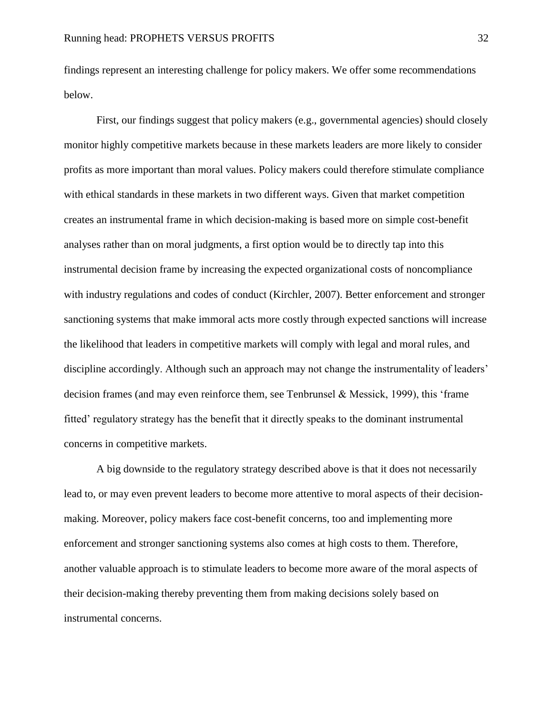findings represent an interesting challenge for policy makers. We offer some recommendations below.

First, our findings suggest that policy makers (e.g., governmental agencies) should closely monitor highly competitive markets because in these markets leaders are more likely to consider profits as more important than moral values. Policy makers could therefore stimulate compliance with ethical standards in these markets in two different ways. Given that market competition creates an instrumental frame in which decision-making is based more on simple cost-benefit analyses rather than on moral judgments, a first option would be to directly tap into this instrumental decision frame by increasing the expected organizational costs of noncompliance with industry regulations and codes of conduct (Kirchler, 2007). Better enforcement and stronger sanctioning systems that make immoral acts more costly through expected sanctions will increase the likelihood that leaders in competitive markets will comply with legal and moral rules, and discipline accordingly. Although such an approach may not change the instrumentality of leaders' decision frames (and may even reinforce them, see Tenbrunsel & Messick, 1999), this 'frame fitted' regulatory strategy has the benefit that it directly speaks to the dominant instrumental concerns in competitive markets.

A big downside to the regulatory strategy described above is that it does not necessarily lead to, or may even prevent leaders to become more attentive to moral aspects of their decisionmaking. Moreover, policy makers face cost-benefit concerns, too and implementing more enforcement and stronger sanctioning systems also comes at high costs to them. Therefore, another valuable approach is to stimulate leaders to become more aware of the moral aspects of their decision-making thereby preventing them from making decisions solely based on instrumental concerns.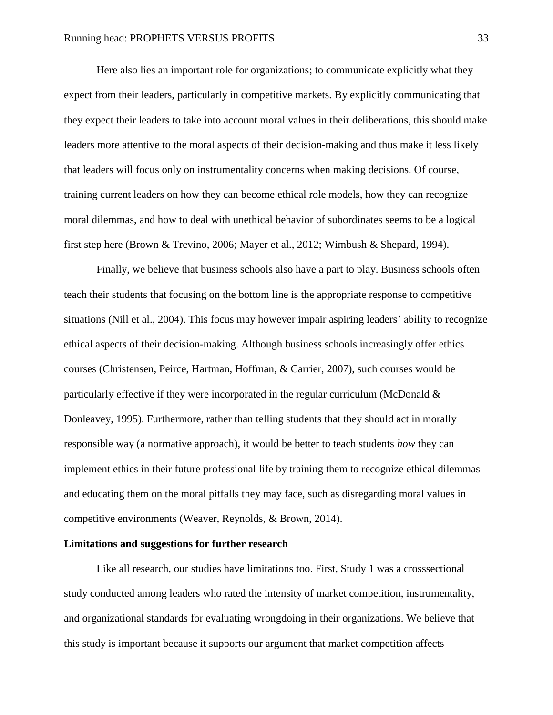Here also lies an important role for organizations; to communicate explicitly what they expect from their leaders, particularly in competitive markets. By explicitly communicating that they expect their leaders to take into account moral values in their deliberations, this should make leaders more attentive to the moral aspects of their decision-making and thus make it less likely that leaders will focus only on instrumentality concerns when making decisions. Of course, training current leaders on how they can become ethical role models, how they can recognize moral dilemmas, and how to deal with unethical behavior of subordinates seems to be a logical first step here (Brown & Trevino, 2006; Mayer et al., 2012; Wimbush & Shepard, 1994).

Finally, we believe that business schools also have a part to play. Business schools often teach their students that focusing on the bottom line is the appropriate response to competitive situations (Nill et al., 2004). This focus may however impair aspiring leaders' ability to recognize ethical aspects of their decision-making. Although business schools increasingly offer ethics courses (Christensen, Peirce, Hartman, Hoffman, & Carrier, 2007), such courses would be particularly effective if they were incorporated in the regular curriculum (McDonald & Donleavey, 1995). Furthermore, rather than telling students that they should act in morally responsible way (a normative approach), it would be better to teach students *how* they can implement ethics in their future professional life by training them to recognize ethical dilemmas and educating them on the moral pitfalls they may face, such as disregarding moral values in competitive environments (Weaver, Reynolds, & Brown, 2014).

#### **Limitations and suggestions for further research**

Like all research, our studies have limitations too. First, Study 1 was a crosssectional study conducted among leaders who rated the intensity of market competition, instrumentality, and organizational standards for evaluating wrongdoing in their organizations. We believe that this study is important because it supports our argument that market competition affects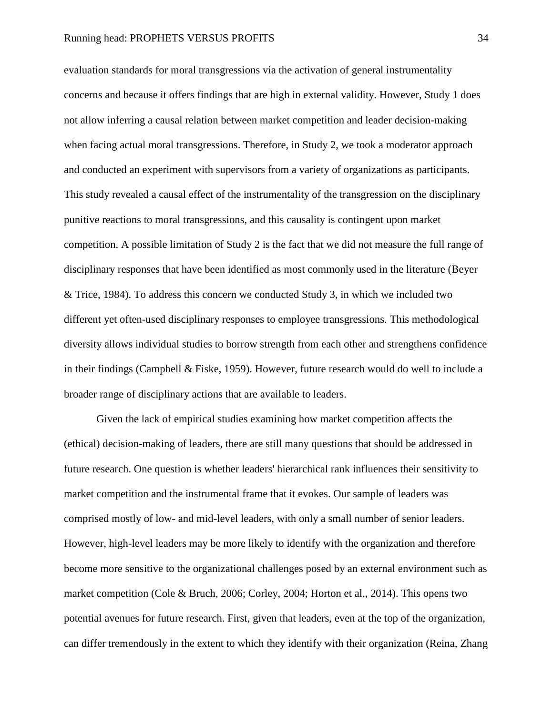evaluation standards for moral transgressions via the activation of general instrumentality concerns and because it offers findings that are high in external validity. However, Study 1 does not allow inferring a causal relation between market competition and leader decision-making when facing actual moral transgressions. Therefore, in Study 2, we took a moderator approach and conducted an experiment with supervisors from a variety of organizations as participants. This study revealed a causal effect of the instrumentality of the transgression on the disciplinary punitive reactions to moral transgressions, and this causality is contingent upon market competition. A possible limitation of Study 2 is the fact that we did not measure the full range of disciplinary responses that have been identified as most commonly used in the literature (Beyer & Trice, 1984). To address this concern we conducted Study 3, in which we included two different yet often-used disciplinary responses to employee transgressions. This methodological diversity allows individual studies to borrow strength from each other and strengthens confidence in their findings (Campbell & Fiske, 1959). However, future research would do well to include a broader range of disciplinary actions that are available to leaders.

Given the lack of empirical studies examining how market competition affects the (ethical) decision-making of leaders, there are still many questions that should be addressed in future research. One question is whether leaders' hierarchical rank influences their sensitivity to market competition and the instrumental frame that it evokes. Our sample of leaders was comprised mostly of low- and mid-level leaders, with only a small number of senior leaders. However, high-level leaders may be more likely to identify with the organization and therefore become more sensitive to the organizational challenges posed by an external environment such as market competition (Cole & Bruch, 2006; Corley, 2004; Horton et al., 2014). This opens two potential avenues for future research. First, given that leaders, even at the top of the organization, can differ tremendously in the extent to which they identify with their organization (Reina, Zhang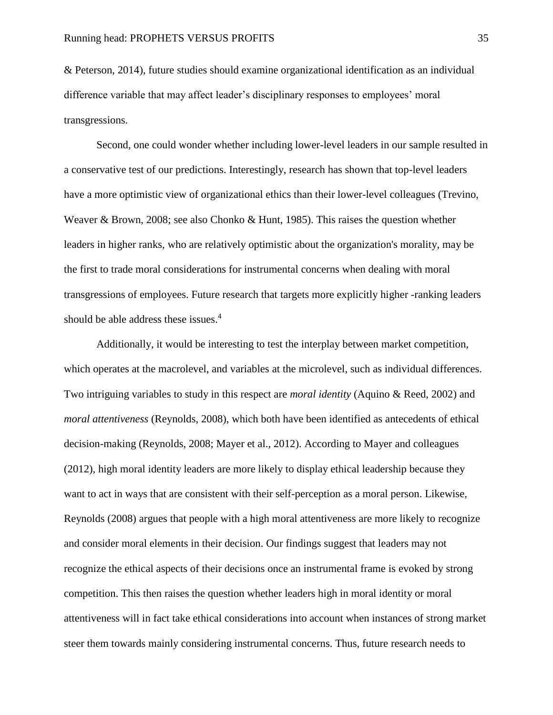& Peterson, 2014), future studies should examine organizational identification as an individual difference variable that may affect leader's disciplinary responses to employees' moral transgressions.

Second, one could wonder whether including lower-level leaders in our sample resulted in a conservative test of our predictions. Interestingly, research has shown that top-level leaders have a more optimistic view of organizational ethics than their lower-level colleagues (Trevino, Weaver & Brown, 2008; see also Chonko & Hunt, 1985). This raises the question whether leaders in higher ranks, who are relatively optimistic about the organization's morality, may be the first to trade moral considerations for instrumental concerns when dealing with moral transgressions of employees. Future research that targets more explicitly higher -ranking leaders should be able address these issues.<sup>4</sup>

Additionally, it would be interesting to test the interplay between market competition, which operates at the macrolevel, and variables at the microlevel, such as individual differences. Two intriguing variables to study in this respect are *moral identity* (Aquino & Reed, 2002) and *moral attentiveness* (Reynolds, 2008), which both have been identified as antecedents of ethical decision-making (Reynolds, 2008; Mayer et al., 2012). According to Mayer and colleagues (2012), high moral identity leaders are more likely to display ethical leadership because they want to act in ways that are consistent with their self-perception as a moral person. Likewise, Reynolds (2008) argues that people with a high moral attentiveness are more likely to recognize and consider moral elements in their decision. Our findings suggest that leaders may not recognize the ethical aspects of their decisions once an instrumental frame is evoked by strong competition. This then raises the question whether leaders high in moral identity or moral attentiveness will in fact take ethical considerations into account when instances of strong market steer them towards mainly considering instrumental concerns. Thus, future research needs to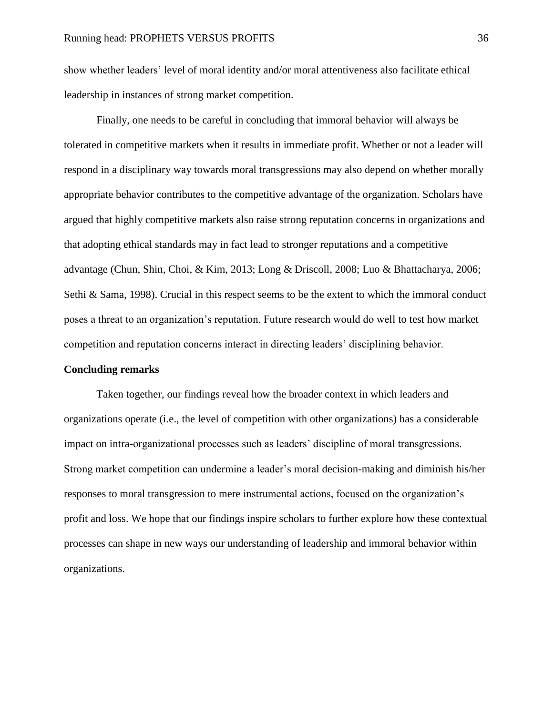show whether leaders' level of moral identity and/or moral attentiveness also facilitate ethical leadership in instances of strong market competition.

Finally, one needs to be careful in concluding that immoral behavior will always be tolerated in competitive markets when it results in immediate profit. Whether or not a leader will respond in a disciplinary way towards moral transgressions may also depend on whether morally appropriate behavior contributes to the competitive advantage of the organization. Scholars have argued that highly competitive markets also raise strong reputation concerns in organizations and that adopting ethical standards may in fact lead to stronger reputations and a competitive advantage (Chun, Shin, Choi, & Kim, 2013; Long & Driscoll, 2008; Luo & Bhattacharya, 2006; Sethi & Sama, 1998). Crucial in this respect seems to be the extent to which the immoral conduct poses a threat to an organization's reputation. Future research would do well to test how market competition and reputation concerns interact in directing leaders' disciplining behavior.

### **Concluding remarks**

Taken together, our findings reveal how the broader context in which leaders and organizations operate (i.e., the level of competition with other organizations) has a considerable impact on intra-organizational processes such as leaders' discipline of moral transgressions. Strong market competition can undermine a leader's moral decision-making and diminish his/her responses to moral transgression to mere instrumental actions, focused on the organization's profit and loss. We hope that our findings inspire scholars to further explore how these contextual processes can shape in new ways our understanding of leadership and immoral behavior within organizations.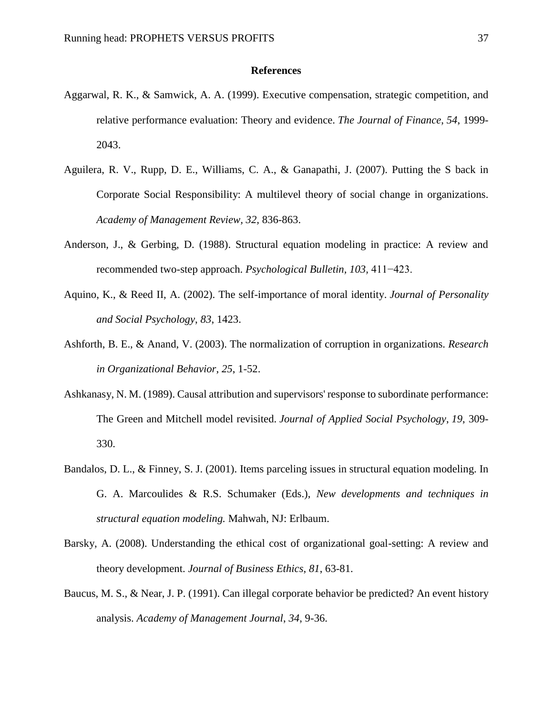#### **References**

- Aggarwal, R. K., & Samwick, A. A. (1999). Executive compensation, strategic competition, and relative performance evaluation: Theory and evidence. *The Journal of Finance*, *54*, 1999- 2043.
- Aguilera, R. V., Rupp, D. E., Williams, C. A., & Ganapathi, J. (2007). Putting the S back in Corporate Social Responsibility: A multilevel theory of social change in organizations. *Academy of Management Review, 32,* 836-863.
- Anderson, J., & Gerbing, D. (1988). Structural equation modeling in practice: A review and recommended two-step approach. *Psychological Bulletin, 103,* 411−423.
- Aquino, K., & Reed II, A. (2002). The self-importance of moral identity. *Journal of Personality and Social Psychology*, *83*, 1423.
- Ashforth, B. E., & Anand, V. (2003). The normalization of corruption in organizations. *Research in Organizational Behavior*, *25*, 1-52.
- Ashkanasy, N. M. (1989). Causal attribution and supervisors' response to subordinate performance: The Green and Mitchell model revisited. *Journal of Applied Social Psychology*, *19*, 309- 330.
- Bandalos, D. L., & Finney, S. J. (2001). Items parceling issues in structural equation modeling. In G. A. Marcoulides & R.S. Schumaker (Eds.), *New developments and techniques in structural equation modeling.* Mahwah, NJ: Erlbaum.
- Barsky, A. (2008). Understanding the ethical cost of organizational goal-setting: A review and theory development. *Journal of Business Ethics*, *81*, 63-81.
- Baucus, M. S., & Near, J. P. (1991). Can illegal corporate behavior be predicted? An event history analysis. *Academy of Management Journal*, *34*, 9-36.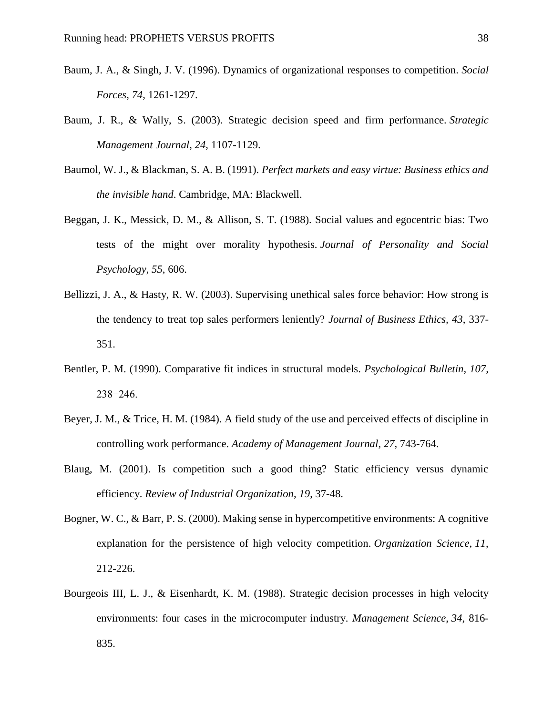- Baum, J. A., & Singh, J. V. (1996). Dynamics of organizational responses to competition. *Social Forces*, *74*, 1261-1297.
- Baum, J. R., & Wally, S. (2003). Strategic decision speed and firm performance. *Strategic Management Journal*, *24*, 1107-1129.
- Baumol, W. J., & Blackman, S. A. B. (1991). *Perfect markets and easy virtue: Business ethics and the invisible hand*. Cambridge, MA: Blackwell.
- Beggan, J. K., Messick, D. M., & Allison, S. T. (1988). Social values and egocentric bias: Two tests of the might over morality hypothesis. *Journal of Personality and Social Psychology*, *55*, 606.
- Bellizzi, J. A., & Hasty, R. W. (2003). Supervising unethical sales force behavior: How strong is the tendency to treat top sales performers leniently? *Journal of Business Ethics, 43*, 337- 351.
- Bentler, P. M. (1990). Comparative fit indices in structural models. *Psychological Bulletin, 107,* 238−246.
- Beyer, J. M., & Trice, H. M. (1984). A field study of the use and perceived effects of discipline in controlling work performance. *Academy of Management Journal*, *27*, 743-764.
- Blaug, M. (2001). Is competition such a good thing? Static efficiency versus dynamic efficiency. *Review of Industrial Organization*, *19*, 37-48.
- Bogner, W. C., & Barr, P. S. (2000). Making sense in hypercompetitive environments: A cognitive explanation for the persistence of high velocity competition. *Organization Science*, *11*, 212-226.
- Bourgeois III, L. J., & Eisenhardt, K. M. (1988). Strategic decision processes in high velocity environments: four cases in the microcomputer industry. *Management Science*, *34*, 816- 835.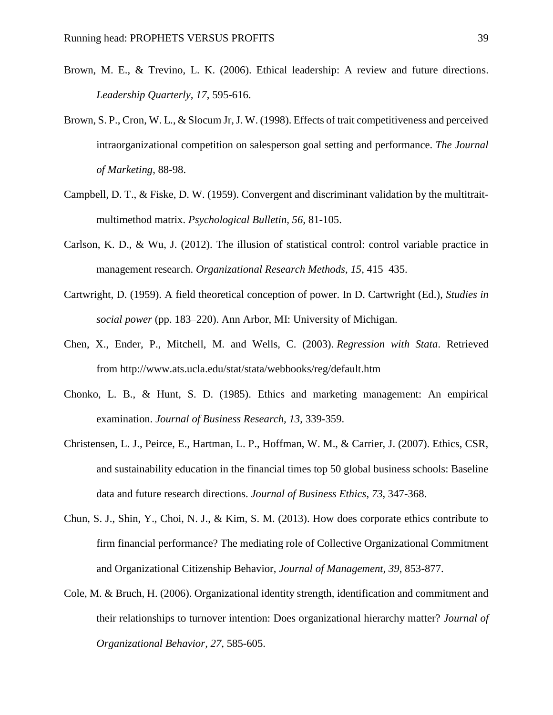- Brown, M. E., & Trevino, L. K. (2006). Ethical leadership: A review and future directions. *Leadership Quarterly, 17*, 595-616.
- Brown, S. P., Cron, W. L., & Slocum Jr, J. W. (1998). Effects of trait competitiveness and perceived intraorganizational competition on salesperson goal setting and performance. *The Journal of Marketing*, 88-98.
- Campbell, D. T., & Fiske, D. W. (1959). Convergent and discriminant validation by the multitraitmultimethod matrix. *Psychological Bulletin, 56,* 81-105.
- Carlson, K. D., & Wu, J. (2012). The illusion of statistical control: control variable practice in management research. *Organizational Research Methods*, *15*, 415–435.
- Cartwright, D. (1959). A field theoretical conception of power. In D. Cartwright (Ed.), *Studies in social power* (pp. 183–220). Ann Arbor, MI: University of Michigan.
- Chen, X., Ender, P., Mitchell, M. and Wells, C. (2003). *Regression with Stata*. Retrieved from http://www.ats.ucla.edu/stat/stata/webbooks/reg/default.htm
- Chonko, L. B., & Hunt, S. D. (1985). Ethics and marketing management: An empirical examination. *Journal of Business Research, 13*, 339-359.
- Christensen, L. J., Peirce, E., Hartman, L. P., Hoffman, W. M., & Carrier, J. (2007). Ethics, CSR, and sustainability education in the financial times top 50 global business schools: Baseline data and future research directions. *Journal of Business Ethics*, *73*, 347-368.
- Chun, S. J., Shin, Y., Choi, N. J., & Kim, S. M. (2013). How does corporate ethics contribute to firm financial performance? The mediating role of Collective Organizational Commitment and Organizational Citizenship Behavior, *Journal of Management, 39*, 853-877.
- Cole, M. & Bruch, H. (2006). Organizational identity strength, identification and commitment and their relationships to turnover intention: Does organizational hierarchy matter? *Journal of Organizational Behavior, 27*, 585-605.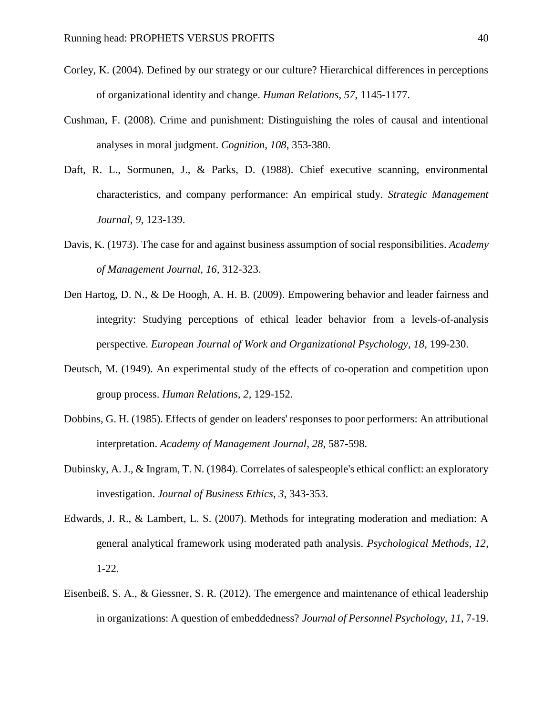- Corley, K. (2004). Defined by our strategy or our culture? Hierarchical differences in perceptions of organizational identity and change. *Human Relations, 57*, 1145-1177.
- Cushman, F. (2008). Crime and punishment: Distinguishing the roles of causal and intentional analyses in moral judgment. *Cognition*, *108*, 353-380.
- Daft, R. L., Sormunen, J., & Parks, D. (1988). Chief executive scanning, environmental characteristics, and company performance: An empirical study. *Strategic Management Journal*, *9*, 123-139.
- Davis, K. (1973). The case for and against business assumption of social responsibilities. *Academy of Management Journal, 16,* 312-323.
- Den Hartog, D. N., & De Hoogh, A. H. B. (2009). Empowering behavior and leader fairness and integrity: Studying perceptions of ethical leader behavior from a levels-of-analysis perspective. *European Journal of Work and Organizational Psychology, 18*, 199-230.
- Deutsch, M. (1949). An experimental study of the effects of co-operation and competition upon group process. *Human Relations, 2,* 129-152.
- Dobbins, G. H. (1985). Effects of gender on leaders' responses to poor performers: An attributional interpretation. *Academy of Management Journal*, *28*, 587-598.
- Dubinsky, A. J., & Ingram, T. N. (1984). Correlates of salespeople's ethical conflict: an exploratory investigation. *Journal of Business Ethics*, *3*, 343-353.
- Edwards, J. R., & Lambert, L. S. (2007). Methods for integrating moderation and mediation: A general analytical framework using moderated path analysis. *Psychological Methods, 12*, 1-22.
- Eisenbeiß, S. A., & Giessner, S. R. (2012). The emergence and maintenance of ethical leadership in organizations: A question of embeddedness? *Journal of Personnel Psychology*, *11*, 7-19.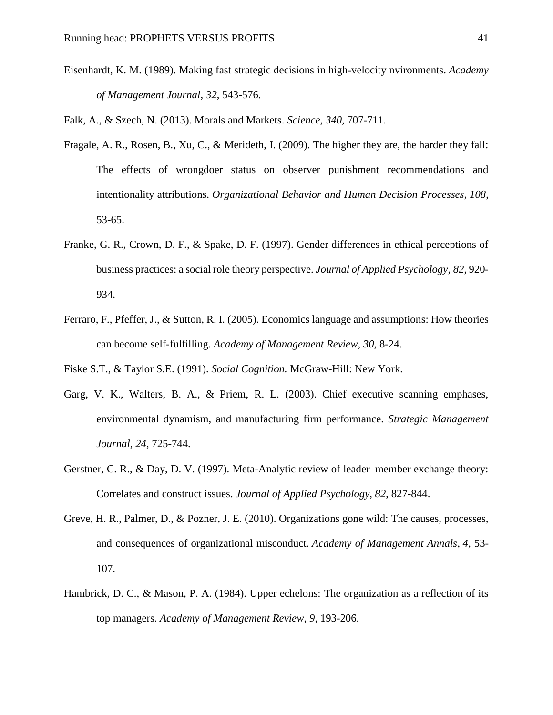Eisenhardt, K. M. (1989). Making fast strategic decisions in high-velocity nvironments. *Academy of Management Journal*, *32*, 543-576.

Falk, A., & Szech, N. (2013). Morals and Markets. *Science*, *340*, 707-711.

- Fragale, A. R., Rosen, B., Xu, C., & Merideth, I. (2009). The higher they are, the harder they fall: The effects of wrongdoer status on observer punishment recommendations and intentionality attributions. *Organizational Behavior and Human Decision Processes*, *108*, 53-65.
- Franke, G. R., Crown, D. F., & Spake, D. F. (1997). Gender differences in ethical perceptions of business practices: a social role theory perspective. *Journal of Applied Psychology*, *82*, 920- 934.
- Ferraro, F., Pfeffer, J., & Sutton, R. I. (2005). Economics language and assumptions: How theories can become self-fulfilling. *Academy of Management Review*, *30*, 8-24.

Fiske S.T., & Taylor S.E. (1991). *Social Cognition.* McGraw-Hill: New York.

- Garg, V. K., Walters, B. A., & Priem, R. L. (2003). Chief executive scanning emphases, environmental dynamism, and manufacturing firm performance. *Strategic Management Journal*, *24*, 725-744.
- Gerstner, C. R., & Day, D. V. (1997). Meta-Analytic review of leader–member exchange theory: Correlates and construct issues. *Journal of Applied Psychology*, *82*, 827-844.
- Greve, H. R., Palmer, D., & Pozner, J. E. (2010). Organizations gone wild: The causes, processes, and consequences of organizational misconduct. *Academy of Management Annals*, *4*, 53- 107.
- Hambrick, D. C., & Mason, P. A. (1984). Upper echelons: The organization as a reflection of its top managers. *Academy of Management Review*, *9*, 193-206.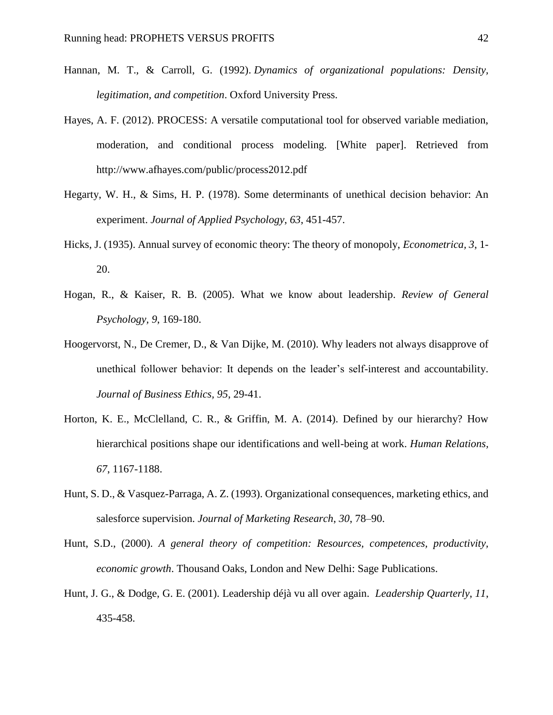- Hannan, M. T., & Carroll, G. (1992). *Dynamics of organizational populations: Density, legitimation, and competition*. Oxford University Press.
- Hayes, A. F. (2012). PROCESS: A versatile computational tool for observed variable mediation, moderation, and conditional process modeling. [White paper]. Retrieved from http://www.afhayes.com/public/process2012.pdf
- Hegarty, W. H., & Sims, H. P. (1978). Some determinants of unethical decision behavior: An experiment. *Journal of Applied Psychology*, *63*, 451-457.
- Hicks, J. (1935). Annual survey of economic theory: The theory of monopoly, *Econometrica, 3*, 1- 20.
- Hogan, R., & Kaiser, R. B. (2005). What we know about leadership. *Review of General Psychology, 9*, 169-180.
- Hoogervorst, N., De Cremer, D., & Van Dijke, M. (2010). Why leaders not always disapprove of unethical follower behavior: It depends on the leader's self-interest and accountability. *Journal of Business Ethics, 95*, 29-41.
- Horton, K. E., McClelland, C. R., & Griffin, M. A. (2014). Defined by our hierarchy? How hierarchical positions shape our identifications and well-being at work. *Human Relations, 67*, 1167-1188.
- Hunt, S. D., & Vasquez-Parraga, A. Z. (1993). Organizational consequences, marketing ethics, and salesforce supervision. *Journal of Marketing Research*, *30*, 78–90.
- Hunt, S.D., (2000). *A general theory of competition: Resources, competences, productivity, economic growth*. Thousand Oaks, London and New Delhi: Sage Publications.
- Hunt, J. G., & Dodge, G. E. (2001). Leadership déjà vu all over again. *Leadership Quarterly*, *11*, 435-458.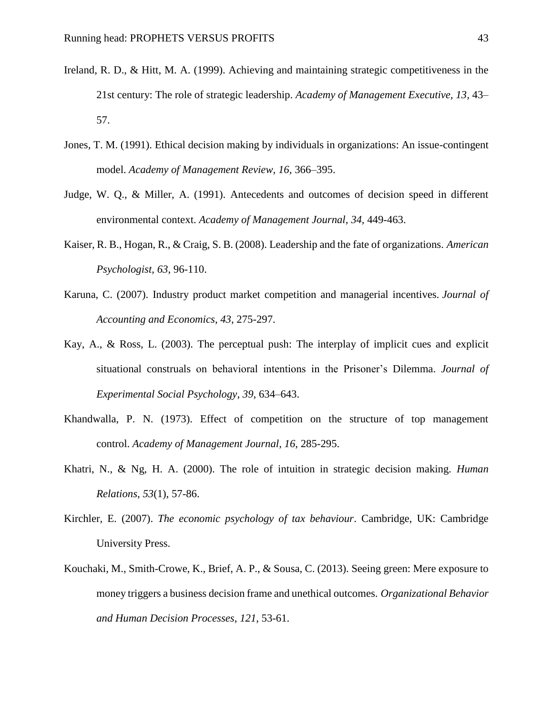- Ireland, R. D., & Hitt, M. A. (1999). Achieving and maintaining strategic competitiveness in the 21st century: The role of strategic leadership. *Academy of Management Executive, 13*, 43– 57.
- Jones, T. M. (1991). Ethical decision making by individuals in organizations: An issue-contingent model. *Academy of Management Review, 16,* 366–395.
- Judge, W. Q., & Miller, A. (1991). Antecedents and outcomes of decision speed in different environmental context. *Academy of Management Journal*, *34*, 449-463.
- Kaiser, R. B., Hogan, R., & Craig, S. B. (2008). Leadership and the fate of organizations. *American Psychologist*, *63*, 96-110.
- Karuna, C. (2007). Industry product market competition and managerial incentives. *Journal of Accounting and Economics*, *43*, 275-297.
- Kay, A., & Ross, L. (2003). The perceptual push: The interplay of implicit cues and explicit situational construals on behavioral intentions in the Prisoner's Dilemma. *Journal of Experimental Social Psychology*, *39*, 634–643.
- Khandwalla, P. N. (1973). Effect of competition on the structure of top management control. *Academy of Management Journal*, *16*, 285-295.
- Khatri, N., & Ng, H. A. (2000). The role of intuition in strategic decision making. *Human Relations*, *53*(1), 57-86.
- Kirchler, E. (2007). *The economic psychology of tax behaviour*. Cambridge, UK: Cambridge University Press.
- Kouchaki, M., Smith-Crowe, K., Brief, A. P., & Sousa, C. (2013). Seeing green: Mere exposure to money triggers a business decision frame and unethical outcomes. *Organizational Behavior and Human Decision Processes*, *121*, 53-61.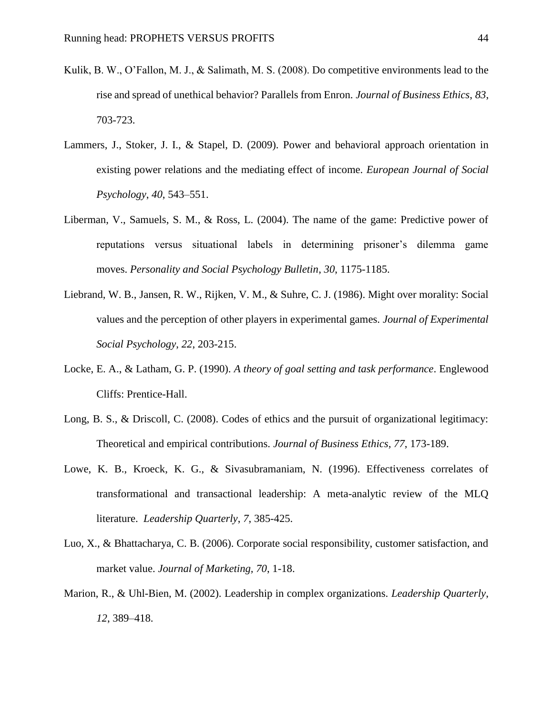- Kulik, B. W., O'Fallon, M. J., & Salimath, M. S. (2008). Do competitive environments lead to the rise and spread of unethical behavior? Parallels from Enron. *Journal of Business Ethics*, *83*, 703-723.
- Lammers, J., Stoker, J. I., & Stapel, D. (2009). Power and behavioral approach orientation in existing power relations and the mediating effect of income. *European Journal of Social Psychology*, *40*, 543–551.
- Liberman, V., Samuels, S. M., & Ross, L. (2004). The name of the game: Predictive power of reputations versus situational labels in determining prisoner's dilemma game moves. *Personality and Social Psychology Bulletin*, *30*, 1175-1185.
- Liebrand, W. B., Jansen, R. W., Rijken, V. M., & Suhre, C. J. (1986). Might over morality: Social values and the perception of other players in experimental games. *Journal of Experimental Social Psychology*, *22*, 203-215.
- Locke, E. A., & Latham, G. P. (1990). *A theory of goal setting and task performance*. Englewood Cliffs: Prentice-Hall.
- Long, B. S., & Driscoll, C. (2008). Codes of ethics and the pursuit of organizational legitimacy: Theoretical and empirical contributions. *Journal of Business Ethics, 77*, 173-189.
- Lowe, K. B., Kroeck, K. G., & Sivasubramaniam, N. (1996). Effectiveness correlates of transformational and transactional leadership: A meta-analytic review of the MLQ literature. *Leadership Quarterly*, *7*, 385-425.
- Luo, X., & Bhattacharya, C. B. (2006). Corporate social responsibility, customer satisfaction, and market value. *Journal of Marketing, 70*, 1-18.
- Marion, R., & Uhl-Bien, M. (2002). Leadership in complex organizations. *Leadership Quarterly*, *12*, 389–418.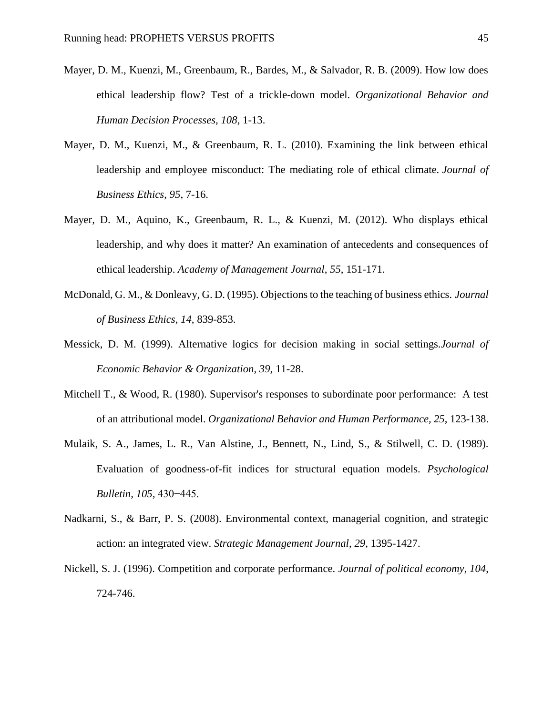- Mayer, D. M., Kuenzi, M., Greenbaum, R., Bardes, M., & Salvador, R. B. (2009). How low does ethical leadership flow? Test of a trickle-down model. *Organizational Behavior and Human Decision Processes, 108*, 1-13.
- Mayer, D. M., Kuenzi, M., & Greenbaum, R. L. (2010). Examining the link between ethical leadership and employee misconduct: The mediating role of ethical climate. *Journal of Business Ethics*, *95*, 7-16.
- Mayer, D. M., Aquino, K., Greenbaum, R. L., & Kuenzi, M. (2012). Who displays ethical leadership, and why does it matter? An examination of antecedents and consequences of ethical leadership. *Academy of Management Journal*, *55*, 151-171.
- McDonald, G. M., & Donleavy, G. D. (1995). Objections to the teaching of business ethics. *Journal of Business Ethics*, *14*, 839-853.
- Messick, D. M. (1999). Alternative logics for decision making in social settings.*Journal of Economic Behavior & Organization*, *39*, 11-28.
- Mitchell T., & Wood, R. (1980). Supervisor's responses to subordinate poor performance: A test of an attributional model. *Organizational Behavior and Human Performance, 25*, 123-138.
- Mulaik, S. A., James, L. R., Van Alstine, J., Bennett, N., Lind, S., & Stilwell, C. D. (1989). Evaluation of goodness-of-fit indices for structural equation models. *Psychological Bulletin, 105,* 430−445.
- Nadkarni, S., & Barr, P. S. (2008). Environmental context, managerial cognition, and strategic action: an integrated view. *Strategic Management Journal*, *29*, 1395-1427.
- Nickell, S. J. (1996). Competition and corporate performance. *Journal of political economy*, *104*, 724-746.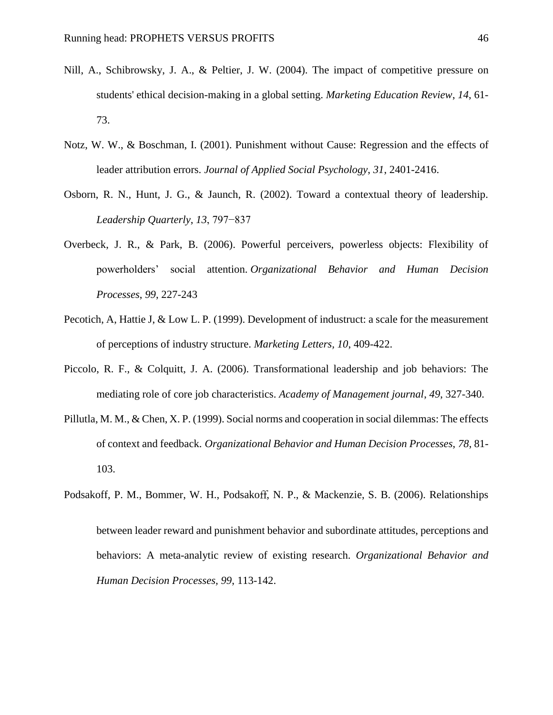- Nill, A., Schibrowsky, J. A., & Peltier, J. W. (2004). The impact of competitive pressure on students' ethical decision-making in a global setting. *Marketing Education Review*, *14*, 61- 73.
- Notz, W. W., & Boschman, I. (2001). Punishment without Cause: Regression and the effects of leader attribution errors. *Journal of Applied Social Psychology*, *31*, 2401-2416.
- Osborn, R. N., Hunt, J. G., & Jaunch, R. (2002). Toward a contextual theory of leadership. *Leadership Quarterly*, *13*, 797−837
- Overbeck, J. R., & Park, B. (2006). Powerful perceivers, powerless objects: Flexibility of powerholders' social attention. *Organizational Behavior and Human Decision Processes*, *99*, 227-243
- Pecotich, A, Hattie J, & Low L. P. (1999). Development of industruct: a scale for the measurement of perceptions of industry structure. *Marketing Letters, 10*, 409-422.
- Piccolo, R. F., & Colquitt, J. A. (2006). Transformational leadership and job behaviors: The mediating role of core job characteristics. *Academy of Management journal*, *49*, 327-340.
- Pillutla, M. M., & Chen, X. P. (1999). Social norms and cooperation in social dilemmas: The effects of context and feedback. *Organizational Behavior and Human Decision Processes*, *78*, 81- 103.
- Podsakoff, P. M., Bommer, W. H., Podsakoff, N. P., & Mackenzie, S. B. (2006). Relationships between leader reward and punishment behavior and subordinate attitudes, perceptions and behaviors: A meta-analytic review of existing research. *Organizational Behavior and Human Decision Processes, 99*, 113-142.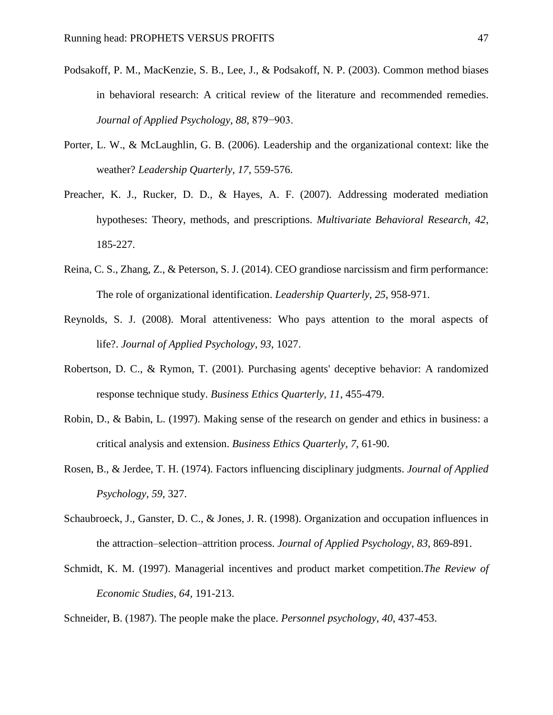- Podsakoff, P. M., MacKenzie, S. B., Lee, J., & Podsakoff, N. P. (2003). Common method biases in behavioral research: A critical review of the literature and recommended remedies. *Journal of Applied Psychology, 88,* 879−903.
- Porter, L. W., & McLaughlin, G. B. (2006). Leadership and the organizational context: like the weather? *Leadership Quarterly, 17*, 559-576.
- Preacher, K. J., Rucker, D. D., & Hayes, A. F. (2007). Addressing moderated mediation hypotheses: Theory, methods, and prescriptions. *Multivariate Behavioral Research, 42*, 185-227.
- Reina, C. S., Zhang, Z., & Peterson, S. J. (2014). CEO grandiose narcissism and firm performance: The role of organizational identification. *Leadership Quarterly*, *25*, 958-971.
- Reynolds, S. J. (2008). Moral attentiveness: Who pays attention to the moral aspects of life?. *Journal of Applied Psychology*, *93*, 1027.
- Robertson, D. C., & Rymon, T. (2001). Purchasing agents' deceptive behavior: A randomized response technique study. *Business Ethics Quarterly*, *11*, 455-479.
- Robin, D., & Babin, L. (1997). Making sense of the research on gender and ethics in business: a critical analysis and extension. *Business Ethics Quarterly*, *7*, 61-90.
- Rosen, B., & Jerdee, T. H. (1974). Factors influencing disciplinary judgments. *Journal of Applied Psychology, 59*, 327.
- Schaubroeck, J., Ganster, D. C., & Jones, J. R. (1998). Organization and occupation influences in the attraction–selection–attrition process. *Journal of Applied Psychology*, *83*, 869-891.
- Schmidt, K. M. (1997). Managerial incentives and product market competition.*The Review of Economic Studies*, *64,* 191-213.

Schneider, B. (1987). The people make the place. *Personnel psychology*, *40*, 437-453.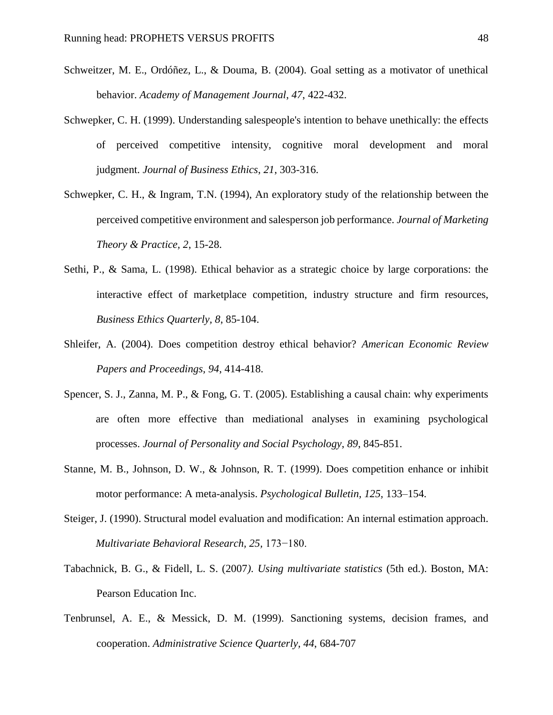- Schweitzer, M. E., Ordóñez, L., & Douma, B. (2004). Goal setting as a motivator of unethical behavior. *Academy of Management Journal*, *47*, 422-432.
- Schwepker, C. H. (1999). Understanding salespeople's intention to behave unethically: the effects of perceived competitive intensity, cognitive moral development and moral judgment. *Journal of Business Ethics*, *21*, 303-316.
- Schwepker, C. H., & Ingram, T.N. (1994), An exploratory study of the relationship between the perceived competitive environment and salesperson job performance. *Journal of Marketing Theory & Practice, 2*, 15-28.
- Sethi, P., & Sama, L. (1998). Ethical behavior as a strategic choice by large corporations: the interactive effect of marketplace competition, industry structure and firm resources, *Business Ethics Quarterly, 8*, 85-104.
- Shleifer, A. (2004). Does competition destroy ethical behavior? *American Economic Review Papers and Proceedings, 94*, 414-418.
- Spencer, S. J., Zanna, M. P., & Fong, G. T. (2005). Establishing a causal chain: why experiments are often more effective than mediational analyses in examining psychological processes. *Journal of Personality and Social Psychology*, *89*, 845-851.
- Stanne, M. B., Johnson, D. W., & Johnson, R. T. (1999). Does competition enhance or inhibit motor performance: A meta-analysis. *Psychological Bulletin, 125,* 133–154.
- Steiger, J. (1990). Structural model evaluation and modification: An internal estimation approach. *Multivariate Behavioral Research, 25,* 173−180.
- Tabachnick, B. G., & Fidell, L. S. (2007*). Using multivariate statistics* (5th ed.). Boston, MA: Pearson Education Inc.
- Tenbrunsel, A. E., & Messick, D. M. (1999). Sanctioning systems, decision frames, and cooperation. *Administrative Science Quarterly, 44*, 684-707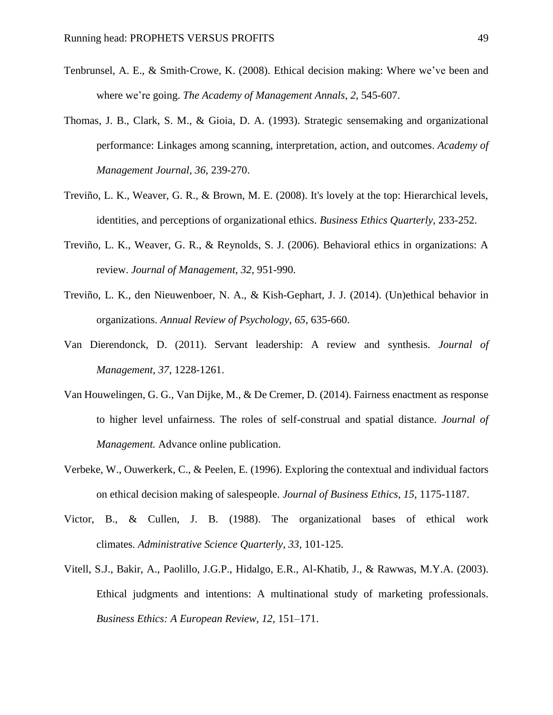- Tenbrunsel, A. E., & Smith‐Crowe, K. (2008). Ethical decision making: Where we've been and where we're going. *The Academy of Management Annals*, *2*, 545-607.
- Thomas, J. B., Clark, S. M., & Gioia, D. A. (1993). Strategic sensemaking and organizational performance: Linkages among scanning, interpretation, action, and outcomes. *Academy of Management Journal*, *36*, 239-270.
- Treviño, L. K., Weaver, G. R., & Brown, M. E. (2008). It's lovely at the top: Hierarchical levels, identities, and perceptions of organizational ethics. *Business Ethics Quarterly*, 233-252.
- Treviño, L. K., Weaver, G. R., & Reynolds, S. J. (2006). Behavioral ethics in organizations: A review. *Journal of Management*, *32*, 951-990.
- Treviño, L. K., den Nieuwenboer, N. A., & Kish-Gephart, J. J. (2014). (Un)ethical behavior in organizations. *Annual Review of Psychology*, *65*, 635-660.
- Van Dierendonck, D. (2011). Servant leadership: A review and synthesis. *Journal of Management*, *37*, 1228-1261.
- Van Houwelingen, G. G., Van Dijke, M., & De Cremer, D. (2014). Fairness enactment as response to higher level unfairness. The roles of self-construal and spatial distance. *Journal of Management.* Advance online publication.
- Verbeke, W., Ouwerkerk, C., & Peelen, E. (1996). Exploring the contextual and individual factors on ethical decision making of salespeople. *Journal of Business Ethics*, *15*, 1175-1187.
- Victor, B., & Cullen, J. B. (1988). The organizational bases of ethical work climates. *Administrative Science Quarterly*, *33*, 101-125.
- Vitell, S.J., Bakir, A., Paolillo, J.G.P., Hidalgo, E.R., Al-Khatib, J., & Rawwas, M.Y.A. (2003). Ethical judgments and intentions: A multinational study of marketing professionals. *Business Ethics: A European Review, 12,* 151–171.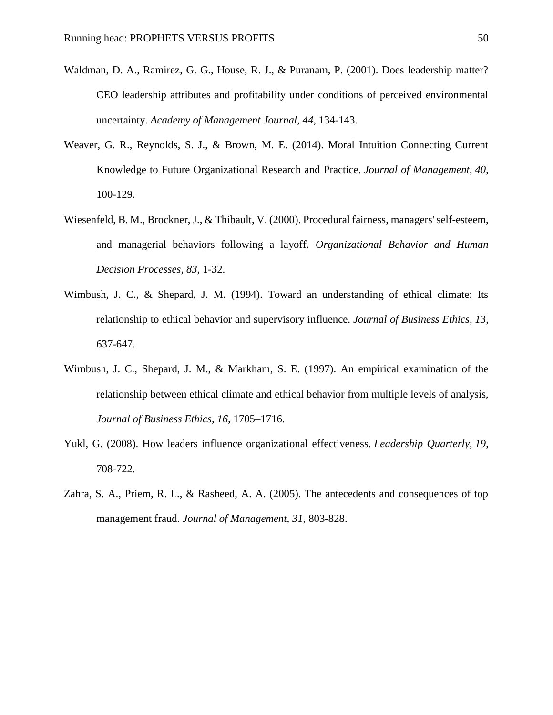- Waldman, D. A., Ramirez, G. G., House, R. J., & Puranam, P. (2001). Does leadership matter? CEO leadership attributes and profitability under conditions of perceived environmental uncertainty. *Academy of Management Journal*, *44*, 134-143.
- Weaver, G. R., Reynolds, S. J., & Brown, M. E. (2014). Moral Intuition Connecting Current Knowledge to Future Organizational Research and Practice. *Journal of Management*, *40*, 100-129.
- Wiesenfeld, B. M., Brockner, J., & Thibault, V. (2000). Procedural fairness, managers' self-esteem, and managerial behaviors following a layoff. *Organizational Behavior and Human Decision Processes*, *83*, 1-32.
- Wimbush, J. C., & Shepard, J. M. (1994). Toward an understanding of ethical climate: Its relationship to ethical behavior and supervisory influence. *Journal of Business Ethics*, *13*, 637-647.
- Wimbush, J. C., Shepard, J. M., & Markham, S. E. (1997). An empirical examination of the relationship between ethical climate and ethical behavior from multiple levels of analysis, *Journal of Business Ethics, 16,* 1705–1716.
- Yukl, G. (2008). How leaders influence organizational effectiveness. *Leadership Quarterly*, *19*, 708-722.
- Zahra, S. A., Priem, R. L., & Rasheed, A. A. (2005). The antecedents and consequences of top management fraud. *Journal of Management*, *31*, 803-828.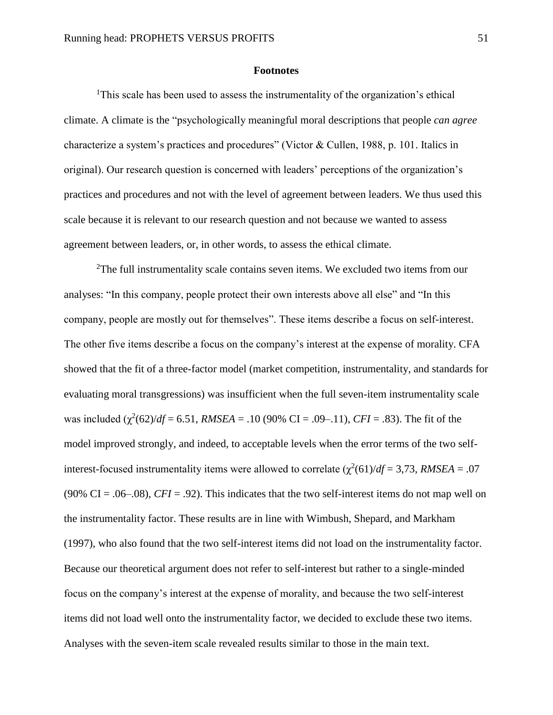#### **Footnotes**

<sup>1</sup>This scale has been used to assess the instrumentality of the organization's ethical climate. A climate is the "psychologically meaningful moral descriptions that people *can agree* characterize a system's practices and procedures" (Victor & Cullen, 1988, p. 101. Italics in original). Our research question is concerned with leaders' perceptions of the organization's practices and procedures and not with the level of agreement between leaders. We thus used this scale because it is relevant to our research question and not because we wanted to assess agreement between leaders, or, in other words, to assess the ethical climate.

<sup>2</sup>The full instrumentality scale contains seven items. We excluded two items from our analyses: "In this company, people protect their own interests above all else" and "In this company, people are mostly out for themselves". These items describe a focus on self-interest. The other five items describe a focus on the company's interest at the expense of morality. CFA showed that the fit of a three-factor model (market competition, instrumentality, and standards for evaluating moral transgressions) was insufficient when the full seven-item instrumentality scale was included  $(\chi^2(62)/df = 6.51$ , *RMSEA* = .10 (90% CI = .09–.11), *CFI* = .83). The fit of the model improved strongly, and indeed, to acceptable levels when the error terms of the two selfinterest-focused instrumentality items were allowed to correlate  $(\chi^2(61)/df = 3.73$ , *RMSEA* = .07 (90% CI =  $.06-0.08$ ), *CFI* = .92). This indicates that the two self-interest items do not map well on the instrumentality factor. These results are in line with Wimbush, Shepard, and Markham (1997), who also found that the two self-interest items did not load on the instrumentality factor. Because our theoretical argument does not refer to self-interest but rather to a single-minded focus on the company's interest at the expense of morality, and because the two self-interest items did not load well onto the instrumentality factor, we decided to exclude these two items. Analyses with the seven-item scale revealed results similar to those in the main text.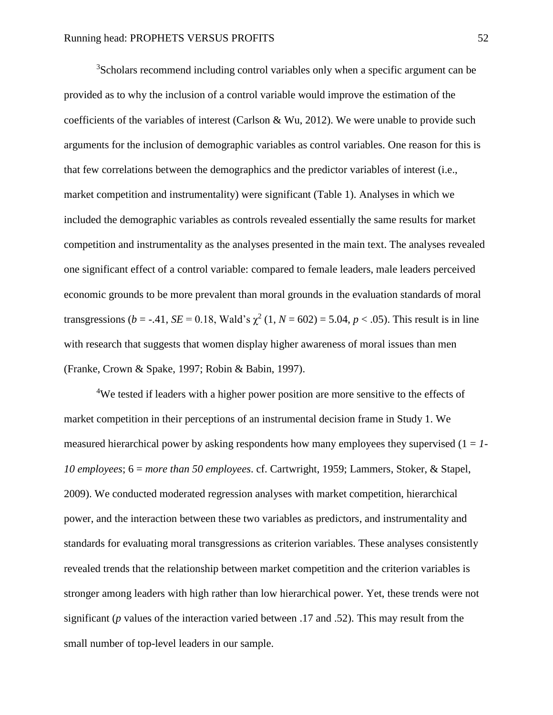<sup>3</sup>Scholars recommend including control variables only when a specific argument can be provided as to why the inclusion of a control variable would improve the estimation of the coefficients of the variables of interest (Carlson & Wu, 2012). We were unable to provide such arguments for the inclusion of demographic variables as control variables. One reason for this is that few correlations between the demographics and the predictor variables of interest (i.e., market competition and instrumentality) were significant (Table 1). Analyses in which we included the demographic variables as controls revealed essentially the same results for market competition and instrumentality as the analyses presented in the main text. The analyses revealed one significant effect of a control variable: compared to female leaders, male leaders perceived economic grounds to be more prevalent than moral grounds in the evaluation standards of moral transgressions (*b* = -.41, *SE* = 0.18, Wald's  $\chi^2$  (1, *N* = 602) = 5.04, *p* < .05). This result is in line with research that suggests that women display higher awareness of moral issues than men (Franke, Crown & Spake, 1997; Robin & Babin, 1997).

<sup>4</sup>We tested if leaders with a higher power position are more sensitive to the effects of market competition in their perceptions of an instrumental decision frame in Study 1. We measured hierarchical power by asking respondents how many employees they supervised  $(1 = 1 - 1)$ *10 employees*; 6 = *more than 50 employees*. cf. Cartwright, 1959; Lammers, Stoker, & Stapel, 2009). We conducted moderated regression analyses with market competition, hierarchical power, and the interaction between these two variables as predictors, and instrumentality and standards for evaluating moral transgressions as criterion variables. These analyses consistently revealed trends that the relationship between market competition and the criterion variables is stronger among leaders with high rather than low hierarchical power. Yet, these trends were not significant (*p* values of the interaction varied between .17 and .52). This may result from the small number of top-level leaders in our sample.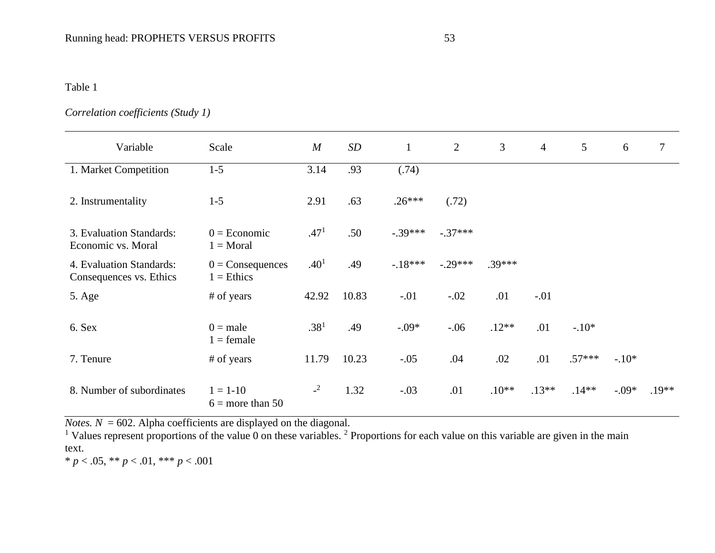# Table 1

# *Correlation coefficients (Study 1)*

| Variable                                            | Scale                              | $\boldsymbol{M}$ | SD    | $\mathbf{1}$ | 2         | 3        | $\overline{4}$ | $\overline{5}$ | 6       | $\tau$  |
|-----------------------------------------------------|------------------------------------|------------------|-------|--------------|-----------|----------|----------------|----------------|---------|---------|
| 1. Market Competition                               | $1 - 5$                            | 3.14             | .93   | (.74)        |           |          |                |                |         |         |
| 2. Instrumentality                                  | $1 - 5$                            | 2.91             | .63   | $.26***$     | (.72)     |          |                |                |         |         |
| 3. Evaluation Standards:<br>Economic vs. Moral      | $0 = E$ conomic<br>$1 = Moral$     | .47 <sup>1</sup> | .50   | $-.39***$    | $-.37***$ |          |                |                |         |         |
| 4. Evaluation Standards:<br>Consequences vs. Ethics | $0 =$ Consequences<br>$1 =$ Ethics | .40 <sup>1</sup> | .49   | $-18***$     | $-.29***$ | $.39***$ |                |                |         |         |
| 5. Age                                              | # of years                         | 42.92            | 10.83 | $-.01$       | $-.02$    | .01      | $-.01$         |                |         |         |
| 6. Sex                                              | $0 = male$<br>$1 =$ female         | .38 <sup>1</sup> | .49   | $-.09*$      | $-0.06$   | $.12**$  | .01            | $-.10*$        |         |         |
| 7. Tenure                                           | # of years                         | 11.79            | 10.23 | $-.05$       | .04       | .02      | .01            | $.57***$       | $-.10*$ |         |
| 8. Number of subordinates                           | $1 = 1 - 10$<br>$6 =$ more than 50 | $-2$             | 1.32  | $-.03$       | .01       | $.10**$  | $.13**$        | $.14**$        | $-.09*$ | $.19**$ |

*Notes.*  $N = 602$ . Alpha coefficients are displayed on the diagonal.

<sup>1</sup> Values represent proportions of the value 0 on these variables. <sup>2</sup> Proportions for each value on this variable are given in the main text.

\* *p* < .05, \*\* *p* < .01, \*\*\* *p* < .001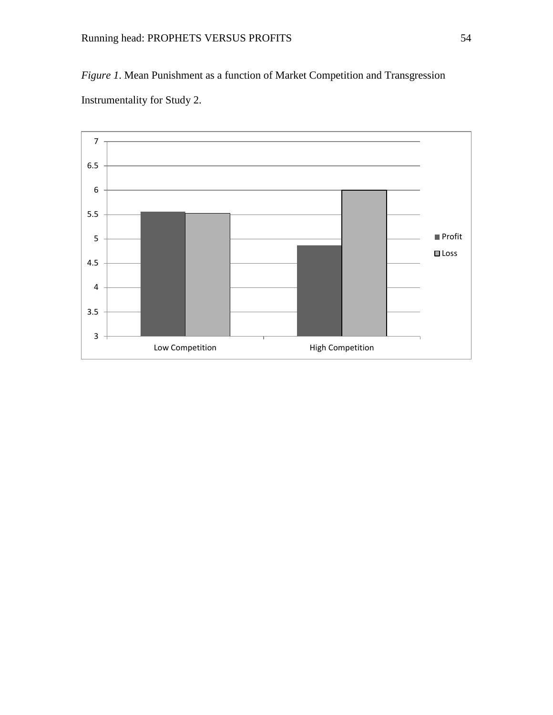*Figure 1*. Mean Punishment as a function of Market Competition and Transgression Instrumentality for Study 2.

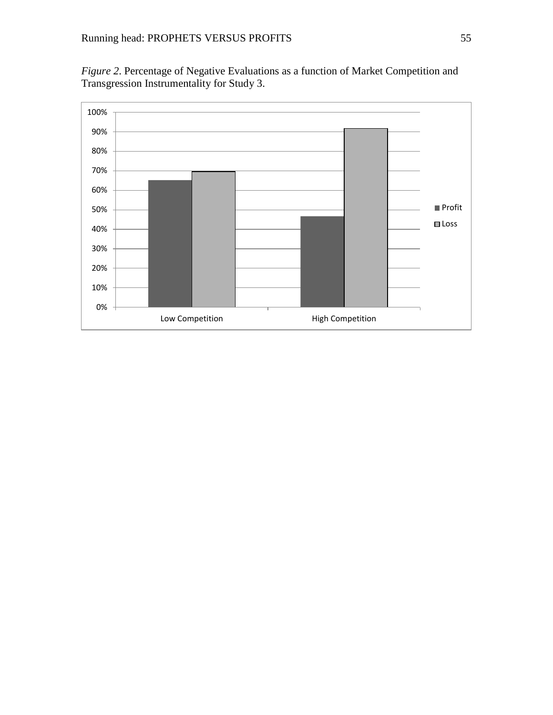*Figure 2*. Percentage of Negative Evaluations as a function of Market Competition and Transgression Instrumentality for Study 3.